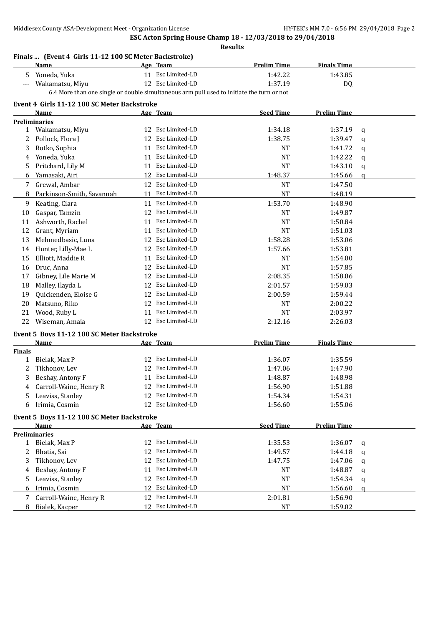| Yoneda, Yuka<br>5<br>Wakamatsu, Miyu | 6.4 More than one single or double simultaneous arm pull used to initiate the turn or not | 11 Esc Limited-LD<br>12 Esc Limited-LD | 1:42.22            | 1:43.85            |             |
|--------------------------------------|-------------------------------------------------------------------------------------------|----------------------------------------|--------------------|--------------------|-------------|
|                                      |                                                                                           |                                        |                    |                    |             |
|                                      |                                                                                           |                                        | 1:37.19            | <b>DQ</b>          |             |
|                                      |                                                                                           |                                        |                    |                    |             |
|                                      | Event 4 Girls 11-12 100 SC Meter Backstroke                                               |                                        |                    |                    |             |
| Name                                 |                                                                                           | Age Team                               | <b>Seed Time</b>   | <b>Prelim Time</b> |             |
| <b>Preliminaries</b>                 |                                                                                           |                                        |                    |                    |             |
| 1 Wakamatsu, Miyu                    |                                                                                           | 12 Esc Limited-LD                      | 1:34.18            | 1:37.19            | q           |
| Pollock, Flora J<br>2                |                                                                                           | 12 Esc Limited-LD                      | 1:38.75            | 1:39.47            | q           |
| Rotko, Sophia<br>3                   |                                                                                           | 11 Esc Limited-LD                      | <b>NT</b>          | 1:41.72            | q           |
| Yoneda, Yuka<br>4                    |                                                                                           | 11 Esc Limited-LD                      | <b>NT</b>          | 1:42.22            | q           |
| Pritchard, Lily M<br>5               |                                                                                           | 11 Esc Limited-LD                      | <b>NT</b>          | 1:43.10            | $\mathbf q$ |
| Yamasaki, Airi<br>6                  |                                                                                           | 12 Esc Limited-LD                      | 1:48.37            | 1:45.66            | a           |
| Grewal, Ambar<br>7                   |                                                                                           | 12 Esc Limited-LD                      | <b>NT</b>          | 1:47.50            |             |
| Parkinson-Smith, Savannah<br>8       |                                                                                           | 11 Esc Limited-LD                      | <b>NT</b>          | 1:48.19            |             |
| Keating, Ciara<br>9                  |                                                                                           | 11 Esc Limited-LD                      | 1:53.70            | 1:48.90            |             |
| Gaspar, Tamzin<br>10                 |                                                                                           | 12 Esc Limited-LD                      | NT                 | 1:49.87            |             |
| Ashworth, Rachel<br>11               |                                                                                           | 11 Esc Limited-LD                      | <b>NT</b>          | 1:50.84            |             |
| Grant, Myriam<br>12                  |                                                                                           | 11 Esc Limited-LD                      | <b>NT</b>          | 1:51.03            |             |
| Mehmedbasic, Luna<br>13              |                                                                                           | 12 Esc Limited-LD                      | 1:58.28            | 1:53.06            |             |
|                                      |                                                                                           | 12 Esc Limited-LD                      |                    |                    |             |
| Hunter, Lilly-Mae L<br>14            |                                                                                           |                                        | 1:57.66            | 1:53.81            |             |
| Elliott, Maddie R<br>15              | 11                                                                                        | Esc Limited-LD                         | <b>NT</b>          | 1:54.00            |             |
| Druc, Anna<br>16                     | 12                                                                                        | Esc Limited-LD                         | <b>NT</b>          | 1:57.85            |             |
| Gibney, Lile Marie M<br>17           | 12                                                                                        | Esc Limited-LD                         | 2:08.35            | 1:58.06            |             |
| Malley, Ilayda L<br>18               | 12                                                                                        | Esc Limited-LD                         | 2:01.57            | 1:59.03            |             |
| Quickenden, Eloise G<br>19           | 12                                                                                        | Esc Limited-LD                         | 2:00.59            | 1:59.44            |             |
| Matsuno, Riko<br>20                  | 12                                                                                        | Esc Limited-LD                         | <b>NT</b>          | 2:00.22            |             |
| Wood, Ruby L<br>21                   | 11                                                                                        | Esc Limited-LD                         | <b>NT</b>          | 2:03.97            |             |
| 22<br>Wiseman, Amaia                 |                                                                                           | 12 Esc Limited-LD                      | 2:12.16            | 2:26.03            |             |
|                                      | Event 5 Boys 11-12 100 SC Meter Backstroke                                                |                                        |                    |                    |             |
| Name                                 |                                                                                           | Age Team                               | <b>Prelim Time</b> | <b>Finals Time</b> |             |
| <b>Finals</b>                        |                                                                                           |                                        |                    |                    |             |
| Bielak, Max P<br>1                   |                                                                                           | 12 Esc Limited-LD                      | 1:36.07            | 1:35.59            |             |
| Tikhonov, Lev<br>2                   |                                                                                           | 12 Esc Limited-LD                      | 1:47.06            | 1:47.90            |             |
| Beshay, Antony F<br>3                |                                                                                           | 11 Esc Limited-LD                      | 1:48.87            | 1:48.98            |             |
| 4 Carroll-Waine, Henry R             |                                                                                           | 12 Esc Limited-LD                      | 1:56.90            | 1:51.88            |             |
| Leaviss, Stanley<br>5                |                                                                                           | 12 Esc Limited-LD                      | 1:54.34            | 1:54.31            |             |
| Irimia, Cosmin<br>6                  |                                                                                           | 12 Esc Limited-LD                      | 1:56.60            | 1:55.06            |             |
|                                      | Event 5 Boys 11-12 100 SC Meter Backstroke                                                |                                        |                    |                    |             |
| Name                                 |                                                                                           | Age Team                               | <b>Seed Time</b>   | <b>Prelim Time</b> |             |
| <b>Preliminaries</b>                 |                                                                                           |                                        |                    |                    |             |
| 1 Bielak, Max P                      |                                                                                           | 12 Esc Limited-LD                      | 1:35.53            | 1:36.07            | q           |
| Bhatia, Sai<br>2                     |                                                                                           | 12 Esc Limited-LD                      | 1:49.57            | 1:44.18            | q           |
| Tikhonov, Lev<br>3                   |                                                                                           | 12 Esc Limited-LD                      | 1:47.75            | 1:47.06            | q           |
| Beshay, Antony F<br>4                |                                                                                           | 11 Esc Limited-LD                      | NT                 | 1:48.87            | q           |
| Leaviss, Stanley<br>5                |                                                                                           | 12 Esc Limited-LD                      | <b>NT</b>          | 1:54.34            | q           |
| Irimia, Cosmin<br>6                  |                                                                                           | 12 Esc Limited-LD                      | <b>NT</b>          | 1:56.60            | a           |
| 7<br>Carroll-Waine, Henry R          |                                                                                           | 12 Esc Limited-LD                      | 2:01.81            | 1:56.90            |             |
| Bialek, Kacper<br>8                  |                                                                                           | 12 Esc Limited-LD                      | NT                 | 1:59.02            |             |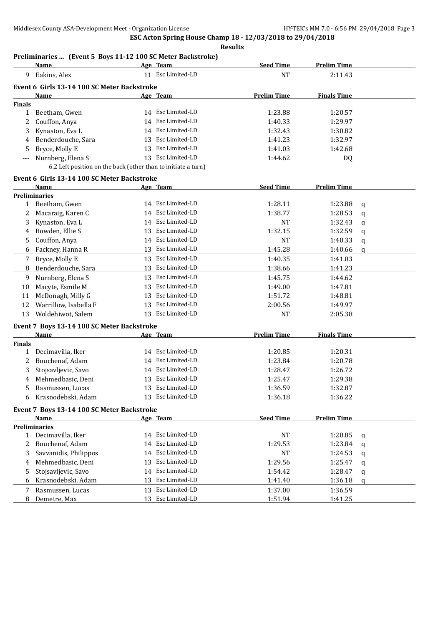#### **Results**

#### **Preliminaries ... (Event 5 Boys 11-12 100 SC Meter Backstroke)**

|               | <b>Name</b>                                                   |    | Age Team          | <b>Seed Time</b>   | <b>Prelim Time</b> |              |
|---------------|---------------------------------------------------------------|----|-------------------|--------------------|--------------------|--------------|
| 9             | Eakins, Alex                                                  |    | 11 Esc Limited-LD | <b>NT</b>          | 2:11.43            |              |
|               | Event 6 Girls 13-14 100 SC Meter Backstroke                   |    |                   |                    |                    |              |
|               | Name                                                          |    | <u>Age Team</u>   | <b>Prelim Time</b> | <b>Finals Time</b> |              |
| <b>Finals</b> |                                                               |    |                   |                    |                    |              |
| $\mathbf{1}$  | Beetham, Gwen                                                 |    | 14 Esc Limited-LD | 1:23.88            | 1:20.57            |              |
| 2             | Couffon, Anya                                                 |    | 14 Esc Limited-LD | 1:40.33            | 1:29.97            |              |
| 3             | Kynaston, Eva L                                               |    | 14 Esc Limited-LD | 1:32.43            | 1:30.82            |              |
| 4             | Benderdouche, Sara                                            | 13 | Esc Limited-LD    | 1:41.23            | 1:32.97            |              |
| 5             | Bryce, Molly E                                                |    | 13 Esc Limited-LD | 1:41.03            | 1:42.68            |              |
| ---           | Nurnberg, Elena S                                             |    | 13 Esc Limited-LD | 1:44.62            | DQ                 |              |
|               | 6.2 Left position on the back (other than to initiate a turn) |    |                   |                    |                    |              |
|               | Event 6 Girls 13-14 100 SC Meter Backstroke                   |    |                   |                    |                    |              |
|               | Name                                                          |    | Age Team          | <b>Seed Time</b>   | <b>Prelim Time</b> |              |
|               | <b>Preliminaries</b>                                          |    |                   |                    |                    |              |
| 1             | Beetham, Gwen                                                 |    | 14 Esc Limited-LD | 1:28.11            | 1:23.88            | q            |
| 2             | Macaraig, Karen C                                             |    | 14 Esc Limited-LD | 1:38.77            | 1:28.53            | $\mathbf q$  |
| 3             | Kynaston, Eva L                                               |    | 14 Esc Limited-LD | <b>NT</b>          | 1:32.43            | $\mathbf q$  |
| 4             | Bowden, Ellie S                                               |    | 13 Esc Limited-LD | 1:32.15            | 1:32.59            | $\mathbf q$  |
| 5             | Couffon, Anya                                                 |    | 14 Esc Limited-LD | NT                 | 1:40.33            | q            |
| 6             | Fackney, Hanna R                                              |    | 13 Esc Limited-LD | 1:45.28            | 1:40.66            | $\mathbf{q}$ |
| 7             | Bryce, Molly E                                                |    | 13 Esc Limited-LD | 1:40.35            | 1:41.03            |              |
| 8             | Benderdouche, Sara                                            |    | 13 Esc Limited-LD | 1:38.66            |                    |              |
|               |                                                               |    | 13 Esc Limited-LD |                    | 1:41.23            |              |
| 9             | Nurnberg, Elena S                                             |    |                   | 1:45.75            | 1:44.62            |              |
| 10            | Macyte, Esmile M                                              | 13 | Esc Limited-LD    | 1:49.00            | 1:47.81            |              |
| 11            | McDonagh, Milly G                                             | 13 | Esc Limited-LD    | 1:51.72            | 1:48.81            |              |
| 12            | Warrillow, Isabella F                                         | 13 | Esc Limited-LD    | 2:00.56            | 1:49.97            |              |
| 13            | Woldehiwot, Salem                                             | 13 | Esc Limited-LD    | NT                 | 2:05.38            |              |
|               | Event 7 Boys 13-14 100 SC Meter Backstroke                    |    |                   |                    |                    |              |
|               | Name                                                          |    | Age Team          | <b>Prelim Time</b> | <b>Finals Time</b> |              |
| <b>Finals</b> |                                                               |    |                   |                    |                    |              |
| $\mathbf{1}$  | Decimavilla, Iker                                             |    | 14 Esc Limited-LD | 1:20.85            | 1:20.31            |              |
| 2             | Bouchenaf, Adam                                               |    | 14 Esc Limited-LD | 1:23.84            | 1:20.78            |              |
| 3             | Stojsavljevic, Savo                                           |    | 14 Esc Limited-LD | 1:28.47            | 1:26.72            |              |
| 4             | Mehmedbasic, Deni                                             |    | 13 Esc Limited-LD | 1:25.47            | 1:29.38            |              |
| 5             | Rasmussen, Lucas                                              |    | 13 Esc Limited-LD | 1:36.59            | 1:32.87            |              |
| 6             | Krasnodebski, Adam                                            |    | 13 Esc Limited-LD | 1:36.18            | 1:36.22            |              |
|               | Event 7 Boys 13-14 100 SC Meter Backstroke                    |    |                   |                    |                    |              |
|               | Name                                                          |    | Age Team          | <b>Seed Time</b>   | <b>Prelim Time</b> |              |
|               | Preliminaries                                                 |    |                   |                    |                    |              |
|               | 1 Decimavilla, Iker                                           |    | 14 Esc Limited-LD | <b>NT</b>          | 1:20.85            | q            |
| 2             | Bouchenaf, Adam                                               |    | 14 Esc Limited-LD | 1:29.53            | 1:23.84            | $\mathbf q$  |
| 3             | Savvanidis, Philippos                                         |    | 14 Esc Limited-LD | <b>NT</b>          | 1:24.53            | q            |
| 4             | Mehmedbasic, Deni                                             | 13 | Esc Limited-LD    | 1:29.56            | 1:25.47            | q            |
| 5             | Stojsavljevic, Savo                                           |    | 14 Esc Limited-LD | 1:54.42            | 1:28.47            | q            |
| 6             | Krasnodebski, Adam                                            | 13 | Esc Limited-LD    | 1:41.40            | 1:36.18            | $\mathbf q$  |
|               | Rasmussen, Lucas                                              | 13 | Esc Limited-LD    | 1:37.00            | 1:36.59            |              |
| 7<br>8        | Demetre, Max                                                  |    | 13 Esc Limited-LD | 1:51.94            | 1:41.25            |              |
|               |                                                               |    |                   |                    |                    |              |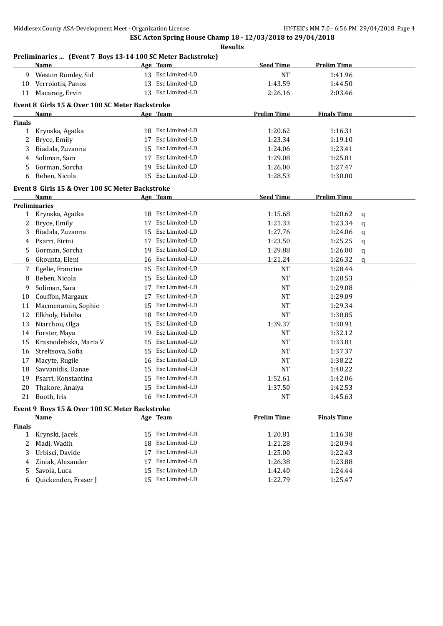#### **Preliminaries ... (Event 7 Boys 13-14 100 SC Meter Backstroke)**

|               | <u>Name</u>                                     |    | Age Team          | <b>Seed Time</b>   | <b>Prelim Time</b> |              |
|---------------|-------------------------------------------------|----|-------------------|--------------------|--------------------|--------------|
| 9.            | Weston Rumley, Sid                              |    | 13 Esc Limited-LD | NT                 | 1:41.96            |              |
| 10            | Verroiotis, Panos                               |    | 13 Esc Limited-LD | 1:43.59            | 1:44.50            |              |
| 11            | Macaraig, Ervin                                 |    | 13 Esc Limited-LD | 2:26.16            | 2:03.46            |              |
|               | Event 8 Girls 15 & Over 100 SC Meter Backstroke |    |                   |                    |                    |              |
|               | Name                                            |    | Age Team          | <b>Prelim Time</b> | <b>Finals Time</b> |              |
| <b>Finals</b> |                                                 |    |                   |                    |                    |              |
| 1             | Krynska, Agatka                                 |    | 18 Esc Limited-LD | 1:20.62            | 1:16.31            |              |
| 2             | Bryce, Emily                                    | 17 | Esc Limited-LD    | 1:23.34            | 1:19.10            |              |
| 3             | Biadala, Zuzanna                                | 15 | Esc Limited-LD    | 1:24.06            | 1:23.41            |              |
| 4             | Soliman, Sara                                   | 17 | Esc Limited-LD    | 1:29.08            | 1:25.81            |              |
| 5             | Gorman, Sorcha                                  | 19 | Esc Limited-LD    | 1:26.00            | 1:27.47            |              |
| 6             | Beben, Nicola                                   | 15 | Esc Limited-LD    | 1:28.53            | 1:30.00            |              |
|               | Event 8 Girls 15 & Over 100 SC Meter Backstroke |    |                   |                    |                    |              |
|               | <b>Name</b>                                     |    | Age Team          | <b>Seed Time</b>   | <b>Prelim Time</b> |              |
|               | <b>Preliminaries</b>                            |    |                   |                    |                    |              |
| $\mathbf{1}$  | Krynska, Agatka                                 |    | 18 Esc Limited-LD | 1:15.68            | 1:20.62            | $\mathbf q$  |
| 2             | Bryce, Emily                                    | 17 | Esc Limited-LD    | 1:21.33            | 1:23.34            | $\mathbf q$  |
| 3             | Biadala, Zuzanna                                | 15 | Esc Limited-LD    | 1:27.76            | 1:24.06            | q            |
| 4             | Psarri, Eirini                                  | 17 | Esc Limited-LD    | 1:23.50            | 1:25.25            | q            |
| 5.            | Gorman, Sorcha                                  | 19 | Esc Limited-LD    | 1:29.88            | 1:26.00            | q            |
| 6             | Gkounta, Eleni                                  |    | 16 Esc Limited-LD | 1:21.24            | 1:26.32            | $\mathbf{q}$ |
| 7             | Egelie, Francine                                |    | 15 Esc Limited-LD | <b>NT</b>          | 1:28.44            |              |
| 8             | Beben, Nicola                                   |    | 15 Esc Limited-LD | <b>NT</b>          | 1:28.53            |              |
| 9             | Soliman, Sara                                   |    | 17 Esc Limited-LD | <b>NT</b>          | 1:29.08            |              |
| 10            | Couffon, Margaux                                | 17 | Esc Limited-LD    | <b>NT</b>          | 1:29.09            |              |
| 11            | Macmenamin, Sophie                              | 15 | Esc Limited-LD    | <b>NT</b>          | 1:29.34            |              |
| 12            | Elkholy, Habiba                                 | 18 | Esc Limited-LD    | <b>NT</b>          | 1:30.85            |              |
| 13            | Niarchou, Olga                                  | 15 | Esc Limited-LD    | 1:39.37            | 1:30.91            |              |
| 14            | Forster, Maya                                   | 19 | Esc Limited-LD    | NT                 | 1:32.12            |              |
| 15            | Krasnodebska, Maria V                           | 15 | Esc Limited-LD    | NT                 | 1:33.81            |              |
| 16            | Streltsova, Sofia                               | 15 | Esc Limited-LD    | <b>NT</b>          | 1:37.37            |              |
| 17            | Macyte, Rugile                                  |    | 16 Esc Limited-LD | NT                 | 1:38.22            |              |
| 18            | Savvanidis, Danae                               |    | 15 Esc Limited-LD | <b>NT</b>          | 1:40.22            |              |
| 19            | Psarri, Konstantina                             | 15 | Esc Limited-LD    | 1:52.61            | 1:42.06            |              |
| 20            | Thakore, Anaiya                                 |    | 15 Esc Limited-LD | 1:37.50            | 1:42.53            |              |
|               | 21 Booth, Iris                                  |    | 16 Esc Limited-LD | NT                 | 1:45.63            |              |
|               | Event 9 Boys 15 & Over 100 SC Meter Backstroke  |    |                   |                    |                    |              |
|               | Name                                            |    | Age Team          | <b>Prelim Time</b> | <b>Finals Time</b> |              |
| <b>Finals</b> |                                                 |    |                   |                    |                    |              |
| $\mathbf{1}$  | Krynski, Jacek                                  |    | 15 Esc Limited-LD | 1:20.81            | 1:16.38            |              |
| 2             | Madi, Wadih                                     | 18 | Esc Limited-LD    | 1:21.28            | 1:20.94            |              |
| 3             | Urbisci, Davide                                 | 17 | Esc Limited-LD    | 1:25.00            | 1:22.43            |              |
| 4             | Ziniak, Alexander                               | 17 | Esc Limited-LD    | 1:26.38            | 1:23.88            |              |
| 5             | Savoia, Luca                                    | 15 | Esc Limited-LD    | 1:42.40            | 1:24.44            |              |
| 6             | Quickenden, Fraser J                            |    | 15 Esc Limited-LD | 1:22.79            | 1:25.47            |              |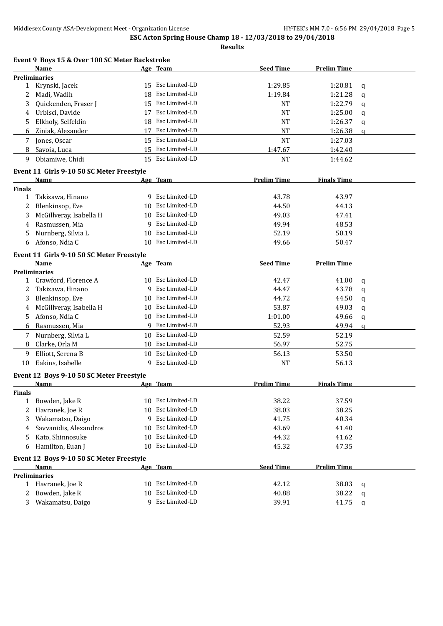|               | Event 9 Boys 15 & Over 100 SC Meter Backstroke |    |                   |                    |                    |              |
|---------------|------------------------------------------------|----|-------------------|--------------------|--------------------|--------------|
|               | <b>Name</b>                                    |    | Age Team          | <b>Seed Time</b>   | <b>Prelim Time</b> |              |
|               | <b>Preliminaries</b>                           |    |                   |                    |                    |              |
|               | 1 Krynski, Jacek                               | 15 | Esc Limited-LD    | 1:29.85            | 1:20.81            | q            |
| 2             | Madi, Wadih                                    | 18 | Esc Limited-LD    | 1:19.84            | 1:21.28            | q            |
| 3             | Quickenden, Fraser J                           | 15 | Esc Limited-LD    | <b>NT</b>          | 1:22.79            | q            |
| 4             | Urbisci, Davide                                | 17 | Esc Limited-LD    | <b>NT</b>          | 1:25.00            | q            |
| 5             | Elkholy, Selfeldin                             | 18 | Esc Limited-LD    | <b>NT</b>          | 1:26.37            | q            |
| 6             | Ziniak, Alexander                              | 17 | Esc Limited-LD    | <b>NT</b>          | 1:26.38            | $\mathbf{q}$ |
| 7             | Jones, Oscar                                   |    | 15 Esc Limited-LD | <b>NT</b>          | 1:27.03            |              |
| 8             | Savoia, Luca                                   | 15 | Esc Limited-LD    | 1:47.67            | 1:42.40            |              |
| 9             | Obiamiwe, Chidi                                |    | 15 Esc Limited-LD | <b>NT</b>          | 1:44.62            |              |
|               | Event 11 Girls 9-10 50 SC Meter Freestyle      |    |                   |                    |                    |              |
|               | <b>Name</b>                                    |    | Age Team          | <b>Prelim Time</b> | <b>Finals Time</b> |              |
| <b>Finals</b> |                                                |    |                   |                    |                    |              |
| 1             | Takizawa, Hinano                               |    | 9 Esc Limited-LD  | 43.78              | 43.97              |              |
| 2             | Blenkinsop, Eve                                | 10 | Esc Limited-LD    | 44.50              | 44.13              |              |
| 3             | McGillveray, Isabella H                        | 10 | Esc Limited-LD    | 49.03              | 47.41              |              |
| 4             | Rasmussen, Mia                                 | 9  | Esc Limited-LD    | 49.94              | 48.53              |              |
| 5             | Nurnberg, Silvia L                             | 10 | Esc Limited-LD    | 52.19              | 50.19              |              |
| 6             | Afonso, Ndia C                                 |    | 10 Esc Limited-LD | 49.66              | 50.47              |              |
|               | Event 11 Girls 9-10 50 SC Meter Freestyle      |    |                   |                    |                    |              |
|               | <b>Name</b>                                    |    | Age Team          | <b>Seed Time</b>   | <b>Prelim Time</b> |              |
|               | <b>Preliminaries</b>                           |    |                   |                    |                    |              |
| $\mathbf{1}$  | Crawford, Florence A                           |    | 10 Esc Limited-LD | 42.47              | 41.00              | q            |
| 2             | Takizawa, Hinano                               | 9  | Esc Limited-LD    | 44.47              | 43.78              | q            |
| 3             | Blenkinsop, Eve                                | 10 | Esc Limited-LD    | 44.72              | 44.50              | q            |
| 4             | McGillveray, Isabella H                        | 10 | Esc Limited-LD    | 53.87              | 49.03              | q            |
| 5.            | Afonso, Ndia C                                 | 10 | Esc Limited-LD    | 1:01.00            | 49.66              | q            |
| 6             | Rasmussen, Mia                                 |    | 9 Esc Limited-LD  | 52.93              | 49.94              | $\mathbf{q}$ |
| 7             | Nurnberg, Silvia L                             | 10 | Esc Limited-LD    | 52.59              | 52.19              |              |
| 8             | Clarke, Orla M                                 | 10 | Esc Limited-LD    | 56.97              | 52.75              |              |
| 9             | Elliott, Serena B                              | 10 | Esc Limited-LD    | 56.13              | 53.50              |              |
| 10            | Eakins, Isabelle                               | 9  | Esc Limited-LD    | <b>NT</b>          | 56.13              |              |
|               | Event 12 Boys 9-10 50 SC Meter Freestyle       |    |                   |                    |                    |              |
|               | <b>Name</b>                                    |    | Age Team          | <b>Prelim Time</b> | <b>Finals Time</b> |              |
| <b>Finals</b> |                                                |    |                   |                    |                    |              |
| $\mathbf{1}$  | Bowden, Jake R                                 |    | 10 Esc Limited-LD | 38.22              | 37.59              |              |
| 2             | Havranek, Joe R                                | 10 | Esc Limited-LD    | 38.03              | 38.25              |              |
| 3             | Wakamatsu, Daigo                               |    | 9 Esc Limited-LD  | 41.75              | 40.34              |              |
| 4             | Savvanidis, Alexandros                         | 10 | Esc Limited-LD    | 43.69              | 41.40              |              |
| 5             | Kato, Shinnosuke                               | 10 | Esc Limited-LD    | 44.32              | 41.62              |              |
| 6             | Hamilton, Euan J                               | 10 | Esc Limited-LD    | 45.32              | 47.35              |              |
|               | Event 12 Boys 9-10 50 SC Meter Freestyle       |    |                   |                    |                    |              |
|               | Name                                           |    | Age Team          | <b>Seed Time</b>   | <b>Prelim Time</b> |              |
|               | <b>Preliminaries</b>                           |    |                   |                    |                    |              |
| 1             | Havranek, Joe R                                | 10 | Esc Limited-LD    | 42.12              | 38.03              | q            |
| 2             | Bowden, Jake R                                 | 10 | Esc Limited-LD    | 40.88              | 38.22              | q            |
| 3             | Wakamatsu, Daigo                               | 9  | Esc Limited-LD    | 39.91              | 41.75              | q            |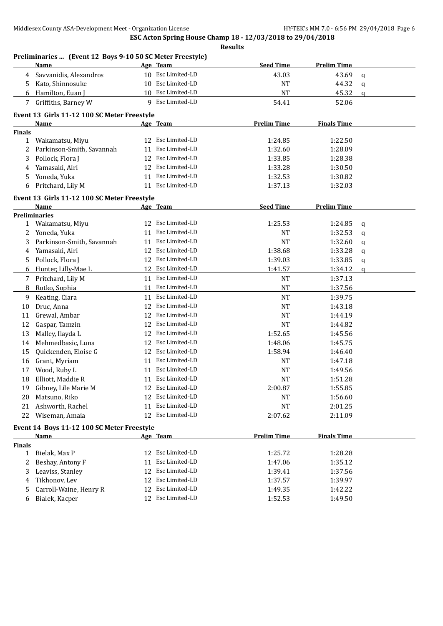|               | Preliminaries  (Event 12 Boys 9-10 50 SC Meter Freestyle)<br>Name |    | Age Team          | <b>Seed Time</b>   | <b>Prelim Time</b> |              |
|---------------|-------------------------------------------------------------------|----|-------------------|--------------------|--------------------|--------------|
| 4             | Savvanidis, Alexandros                                            |    | 10 Esc Limited-LD | 43.03              | 43.69              | q            |
| 5.            | Kato, Shinnosuke                                                  |    | 10 Esc Limited-LD | NT                 | 44.32              | $\mathbf{q}$ |
| 6             | Hamilton, Euan J                                                  |    | 10 Esc Limited-LD | <b>NT</b>          | 45.32              | a            |
|               | 7 Griffiths, Barney W                                             |    | 9 Esc Limited-LD  | 54.41              | 52.06              |              |
|               | Event 13 Girls 11-12 100 SC Meter Freestyle                       |    |                   |                    |                    |              |
|               | Name                                                              |    | Age Team          | <b>Prelim Time</b> | <b>Finals Time</b> |              |
| <b>Finals</b> |                                                                   |    |                   |                    |                    |              |
| $\mathbf{1}$  | Wakamatsu, Miyu                                                   | 12 | Esc Limited-LD    | 1:24.85            | 1:22.50            |              |
| 2             | Parkinson-Smith, Savannah                                         |    | 11 Esc Limited-LD | 1:32.60            | 1:28.09            |              |
| 3             | Pollock, Flora J                                                  | 12 | Esc Limited-LD    | 1:33.85            | 1:28.38            |              |
| 4             | Yamasaki, Airi                                                    | 12 | Esc Limited-LD    | 1:33.28            | 1:30.50            |              |
| 5             | Yoneda, Yuka                                                      |    | 11 Esc Limited-LD | 1:32.53            | 1:30.82            |              |
| 6             | Pritchard, Lily M                                                 |    | 11 Esc Limited-LD | 1:37.13            | 1:32.03            |              |
|               | Event 13 Girls 11-12 100 SC Meter Freestyle                       |    |                   |                    |                    |              |
|               | Name                                                              |    | Age Team          | <b>Seed Time</b>   | <b>Prelim Time</b> |              |
|               | <b>Preliminaries</b>                                              |    |                   |                    |                    |              |
| $\mathbf{1}$  | Wakamatsu, Miyu                                                   |    | 12 Esc Limited-LD | 1:25.53            | 1:24.85            | q            |
| 2             | Yoneda, Yuka                                                      |    | 11 Esc Limited-LD | <b>NT</b>          | 1:32.53            | q            |
| 3             | Parkinson-Smith, Savannah                                         | 11 | Esc Limited-LD    | <b>NT</b>          | 1:32.60            | q            |
| 4             | Yamasaki, Airi                                                    | 12 | Esc Limited-LD    | 1:38.68            | 1:33.28            | q            |
| 5             | Pollock, Flora J                                                  |    | 12 Esc Limited-LD | 1:39.03            | 1:33.85            | q            |
| 6             | Hunter, Lilly-Mae L                                               |    | 12 Esc Limited-LD | 1:41.57            | 1:34.12            | a            |
| 7             | Pritchard, Lily M                                                 |    | 11 Esc Limited-LD | <b>NT</b>          | 1:37.13            |              |
| 8             | Rotko, Sophia                                                     | 11 | Esc Limited-LD    | $\rm{NT}$          | 1:37.56            |              |
| 9             | Keating, Ciara                                                    |    | 11 Esc Limited-LD | <b>NT</b>          | 1:39.75            |              |
| 10            | Druc, Anna                                                        |    | 12 Esc Limited-LD | <b>NT</b>          | 1:43.18            |              |
| 11            | Grewal, Ambar                                                     |    | 12 Esc Limited-LD | NT                 | 1:44.19            |              |
| 12            | Gaspar, Tamzin                                                    |    | 12 Esc Limited-LD | <b>NT</b>          | 1:44.82            |              |
| 13            | Malley, Ilayda L                                                  |    | 12 Esc Limited-LD | 1:52.65            | 1:45.56            |              |
| 14            | Mehmedbasic, Luna                                                 |    | 12 Esc Limited-LD | 1:48.06            | 1:45.75            |              |
| 15            | Quickenden, Eloise G                                              |    | 12 Esc Limited-LD | 1:58.94            | 1:46.40            |              |
| 16            | Grant, Myriam                                                     |    | 11 Esc Limited-LD | NT                 | 1:47.18            |              |
| 17            | Wood, Ruby L                                                      | 11 | Esc Limited-LD    | NT                 | 1:49.56            |              |
| 18            | Elliott, Maddie R                                                 |    | 11 Esc Limited-LD | <b>NT</b>          | 1:51.28            |              |
| 19            | Gibney, Lile Marie M                                              |    | 12 Esc Limited-LD | 2:00.87            | 1:55.85            |              |
| 20            | Matsuno, Riko                                                     | 12 | Esc Limited-LD    | NT                 | 1:56.60            |              |
| 21            | Ashworth, Rachel                                                  | 11 | Esc Limited-LD    | NT                 | 2:01.25            |              |
| 22            | Wiseman, Amaia                                                    | 12 | Esc Limited-LD    | 2:07.62            | 2:11.09            |              |
|               | Event 14 Boys 11-12 100 SC Meter Freestyle                        |    |                   |                    |                    |              |
|               | <u>Name</u>                                                       |    | Age Team          | <b>Prelim Time</b> | <b>Finals Time</b> |              |
| <b>Finals</b> |                                                                   |    |                   |                    |                    |              |
| $\mathbf{1}$  | Bielak, Max P                                                     |    | 12 Esc Limited-LD | 1:25.72            | 1:28.28            |              |
| 2             | Beshay, Antony F                                                  | 11 | Esc Limited-LD    | 1:47.06            | 1:35.12            |              |
| 3             | Leaviss, Stanley                                                  | 12 | Esc Limited-LD    | 1:39.41            | 1:37.56            |              |
| 4             | Tikhonov, Lev                                                     | 12 | Esc Limited-LD    | 1:37.57            | 1:39.97            |              |
| 5             | Carroll-Waine, Henry R                                            |    | 12 Esc Limited-LD | 1:49.35            | 1:42.22            |              |
| 6             | Bialek, Kacper                                                    |    | 12 Esc Limited-LD | 1:52.53            | 1:49.50            |              |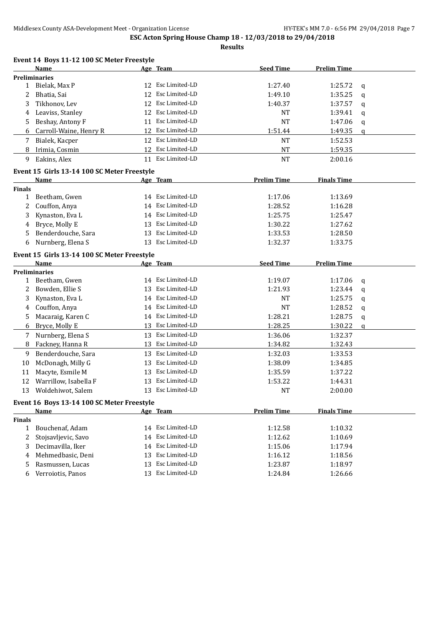|  |  |  |  |  | Event 14 Boys 11-12 100 SC Meter Freestyle |
|--|--|--|--|--|--------------------------------------------|
|--|--|--|--|--|--------------------------------------------|

|               | <b>Name</b>                                 |    | Age Team          | <b>Seed Time</b>   | <b>Prelim Time</b> |             |
|---------------|---------------------------------------------|----|-------------------|--------------------|--------------------|-------------|
|               | <b>Preliminaries</b>                        |    |                   |                    |                    |             |
| $\mathbf{1}$  | Bielak, Max P                               |    | 12 Esc Limited-LD | 1:27.40            | 1:25.72            | q           |
| 2             | Bhatia, Sai                                 | 12 | Esc Limited-LD    | 1:49.10            | 1:35.25            | q           |
| 3             | Tikhonov, Lev                               | 12 | Esc Limited-LD    | 1:40.37            | 1:37.57            | q           |
| 4             | Leaviss, Stanley                            |    | 12 Esc Limited-LD | NT                 | 1:39.41            | q           |
| 5             | Beshay, Antony F                            |    | 11 Esc Limited-LD | <b>NT</b>          | 1:47.06            | q           |
| 6             | Carroll-Waine, Henry R                      |    | 12 Esc Limited-LD | 1:51.44            | 1:49.35            | $\mathbf q$ |
| 7             | Bialek, Kacper                              | 12 | Esc Limited-LD    | <b>NT</b>          | 1:52.53            |             |
| 8             | Irimia, Cosmin                              | 12 | Esc Limited-LD    | <b>NT</b>          | 1:59.35            |             |
| 9             | Eakins, Alex                                |    | 11 Esc Limited-LD | <b>NT</b>          | 2:00.16            |             |
|               | Event 15 Girls 13-14 100 SC Meter Freestyle |    |                   |                    |                    |             |
|               | Name                                        |    | Age Team          | <b>Prelim Time</b> | <b>Finals Time</b> |             |
| <b>Finals</b> |                                             |    |                   |                    |                    |             |
| $\mathbf{1}$  | Beetham, Gwen                               |    | 14 Esc Limited-LD | 1:17.06            | 1:13.69            |             |
| 2             | Couffon, Anya                               |    | 14 Esc Limited-LD | 1:28.52            | 1:16.28            |             |
| 3             | Kynaston, Eva L                             |    | 14 Esc Limited-LD | 1:25.75            | 1:25.47            |             |
| 4             | Bryce, Molly E                              | 13 | Esc Limited-LD    | 1:30.22            | 1:27.62            |             |
| 5             | Benderdouche, Sara                          |    | 13 Esc Limited-LD | 1:33.53            | 1:28.50            |             |
| 6             | Nurnberg, Elena S                           |    | 13 Esc Limited-LD | 1:32.37            | 1:33.75            |             |
|               | Event 15 Girls 13-14 100 SC Meter Freestyle |    |                   |                    |                    |             |
|               | Name                                        |    | Age Team          | <b>Seed Time</b>   | <b>Prelim Time</b> |             |
|               | <b>Preliminaries</b>                        |    |                   |                    |                    |             |
| 1             | Beetham, Gwen                               |    | 14 Esc Limited-LD | 1:19.07            | 1:17.06            | q           |
| 2             | Bowden, Ellie S                             | 13 | Esc Limited-LD    | 1:21.93            | 1:23.44            | q           |
| 3             | Kynaston, Eva L                             | 14 | Esc Limited-LD    | NT                 | 1:25.75            | q           |
| 4             | Couffon, Anya                               |    | 14 Esc Limited-LD | <b>NT</b>          | 1:28.52            | q           |
| 5             | Macaraig, Karen C                           |    | 14 Esc Limited-LD | 1:28.21            | 1:28.75            | q           |
| 6             | Bryce, Molly E                              | 13 | Esc Limited-LD    | 1:28.25            | 1:30.22            | q           |
| 7             | Nurnberg, Elena S                           |    | 13 Esc Limited-LD | 1:36.06            | 1:32.37            |             |
| 8             | Fackney, Hanna R                            | 13 | Esc Limited-LD    | 1:34.82            | 1:32.43            |             |
| 9             | Benderdouche, Sara                          | 13 | Esc Limited-LD    | 1:32.03            | 1:33.53            |             |
| 10            | McDonagh, Milly G                           | 13 | Esc Limited-LD    | 1:38.09            | 1:34.85            |             |
| 11            | Macyte, Esmile M                            | 13 | Esc Limited-LD    | 1:35.59            | 1:37.22            |             |
| 12            | Warrillow, Isabella F                       | 13 | Esc Limited-LD    | 1:53.22            | 1:44.31            |             |
| 13            | Woldehiwot, Salem                           | 13 | Esc Limited-LD    | <b>NT</b>          | 2:00.00            |             |
|               | Event 16 Boys 13-14 100 SC Meter Freestyle  |    |                   |                    |                    |             |
|               | <b>Name</b>                                 |    | Age Team          | <b>Prelim Time</b> | <b>Finals Time</b> |             |
| <b>Finals</b> |                                             |    |                   |                    |                    |             |
| 1             | Bouchenaf, Adam                             |    | 14 Esc Limited-LD | 1:12.58            | 1:10.32            |             |
| 2             | Stojsavljevic, Savo                         |    | 14 Esc Limited-LD | 1:12.62            | 1:10.69            |             |
| 3             | Decimavilla, Iker                           | 14 | Esc Limited-LD    | 1:15.06            | 1:17.94            |             |
| 4             | Mehmedbasic, Deni                           | 13 | Esc Limited-LD    | 1:16.12            | 1:18.56            |             |
| 5             | Rasmussen, Lucas                            | 13 | Esc Limited-LD    | 1:23.87            | 1:18.97            |             |
| 6             | Verroiotis, Panos                           | 13 | Esc Limited-LD    | 1:24.84            | 1:26.66            |             |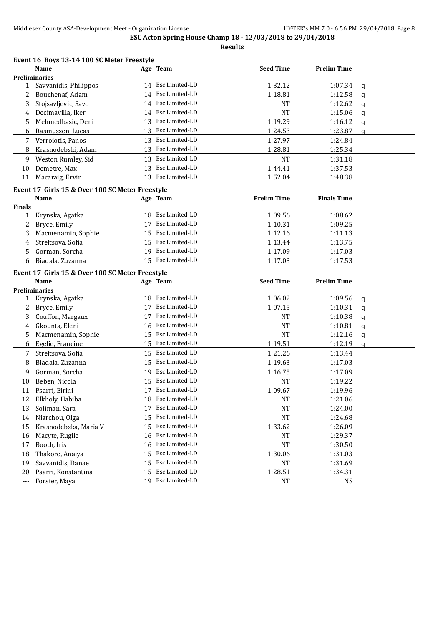|                   | <b>Name</b>                                     |    | Age Team          | <b>Seed Time</b>     | <b>Prelim Time</b> |                  |
|-------------------|-------------------------------------------------|----|-------------------|----------------------|--------------------|------------------|
|                   | <b>Preliminaries</b>                            |    |                   |                      |                    |                  |
| $\mathbf{1}$      | Savvanidis, Philippos                           |    | 14 Esc Limited-LD | 1:32.12              | 1:07.34            | q                |
| 2                 | Bouchenaf, Adam                                 |    | 14 Esc Limited-LD | 1:18.81              | 1:12.58            | $\mathbf q$      |
| 3                 | Stojsavljevic, Savo                             |    | 14 Esc Limited-LD | NT                   | 1:12.62            | q                |
| 4                 | Decimavilla, Iker                               |    | 14 Esc Limited-LD | <b>NT</b>            | 1:15.06            | q                |
| 5                 | Mehmedbasic, Deni                               |    | 13 Esc Limited-LD | 1:19.29              | 1:16.12            | $\mathsf{q}$     |
| 6                 | Rasmussen, Lucas                                |    | 13 Esc Limited-LD | 1:24.53              | 1:23.87            | $\mathbf q$      |
| 7                 | Verroiotis, Panos                               |    | 13 Esc Limited-LD | 1:27.97              | 1:24.84            |                  |
| 8                 | Krasnodebski, Adam                              | 13 | Esc Limited-LD    | 1:28.81              | 1:25.34            |                  |
| 9                 | Weston Rumley, Sid                              | 13 | Esc Limited-LD    | <b>NT</b>            | 1:31.18            |                  |
| 10                | Demetre, Max                                    | 13 | Esc Limited-LD    | 1:44.41              | 1:37.53            |                  |
| 11                | Macaraig, Ervin                                 |    | 13 Esc Limited-LD | 1:52.04              | 1:48.38            |                  |
|                   | Event 17 Girls 15 & Over 100 SC Meter Freestyle |    |                   |                      |                    |                  |
|                   | <b>Name</b>                                     |    | Age Team          | <b>Prelim Time</b>   | <b>Finals Time</b> |                  |
| Finals            |                                                 |    |                   |                      |                    |                  |
| $\mathbf{1}$      | Krynska, Agatka                                 |    | 18 Esc Limited-LD | 1:09.56              | 1:08.62            |                  |
| 2                 | Bryce, Emily                                    |    | 17 Esc Limited-LD | 1:10.31              | 1:09.25            |                  |
| 3                 | Macmenamin, Sophie                              |    | 15 Esc Limited-LD | 1:12.16              | 1:11.13            |                  |
| 4                 | Streltsova, Sofia                               |    | 15 Esc Limited-LD | 1:13.44              | 1:13.75            |                  |
| 5                 | Gorman, Sorcha                                  |    | 19 Esc Limited-LD | 1:17.09              | 1:17.03            |                  |
| 6                 | Biadala, Zuzanna                                |    | 15 Esc Limited-LD | 1:17.03              | 1:17.53            |                  |
|                   | Event 17 Girls 15 & Over 100 SC Meter Freestyle |    |                   |                      |                    |                  |
|                   | Name                                            |    | Age Team          | <b>Seed Time</b>     | <b>Prelim Time</b> |                  |
|                   |                                                 |    |                   |                      |                    |                  |
|                   |                                                 |    |                   |                      |                    |                  |
|                   | <b>Preliminaries</b>                            | 18 | Esc Limited-LD    |                      |                    |                  |
| $\mathbf{1}$<br>2 | Krynska, Agatka                                 | 17 | Esc Limited-LD    | 1:06.02              | 1:09.56            | q                |
| 3                 | Bryce, Emily                                    | 17 | Esc Limited-LD    | 1:07.15<br><b>NT</b> | 1:10.31            | q                |
| 4                 | Couffon, Margaux                                | 16 | Esc Limited-LD    | <b>NT</b>            | 1:10.38            | q                |
| 5                 | Gkounta, Eleni                                  | 15 | Esc Limited-LD    | <b>NT</b>            | 1:10.81            | q                |
| 6                 | Macmenamin, Sophie                              |    | 15 Esc Limited-LD | 1:19.51              | 1:12.16            | q<br>$\mathbf q$ |
| 7                 | Egelie, Francine                                |    | 15 Esc Limited-LD |                      | 1:12.19            |                  |
| 8                 | Streltsova, Sofia                               | 15 | Esc Limited-LD    | 1:21.26<br>1:19.63   | 1:13.44            |                  |
| 9                 | Biadala, Zuzanna                                |    | 19 Esc Limited-LD |                      | 1:17.03            |                  |
| 10                | Gorman, Sorcha                                  |    | 15 Esc Limited-LD | 1:16.75              | 1:17.09            |                  |
| 11                | Beben, Nicola<br>Psarri, Eirini                 |    | 17 Esc Limited-LD | <b>NT</b><br>1:09.67 | 1:19.22<br>1:19.96 |                  |
| 12                |                                                 |    | 18 Esc Limited-LD |                      |                    |                  |
| 13                | Elkholy, Habiba<br>Soliman, Sara                | 17 | Esc Limited-LD    | <b>NT</b><br>NT      | 1:21.06<br>1:24.00 |                  |
| 14                |                                                 | 15 | Esc Limited-LD    |                      | 1:24.68            |                  |
| 15                | Niarchou, Olga<br>Krasnodebska, Maria V         | 15 | Esc Limited-LD    | NT<br>1:33.62        | 1:26.09            |                  |
| 16                | Macyte, Rugile                                  | 16 | Esc Limited-LD    | NT                   | 1:29.37            |                  |
| 17                | Booth, Iris                                     | 16 | Esc Limited-LD    | NT                   | 1:30.50            |                  |
| 18                | Thakore, Anaiya                                 | 15 | Esc Limited-LD    | 1:30.06              | 1:31.03            |                  |
| 19                | Savvanidis, Danae                               | 15 | Esc Limited-LD    | NT                   | 1:31.69            |                  |
| 20                | Psarri, Konstantina                             | 15 | Esc Limited-LD    | 1:28.51              | 1:34.31            |                  |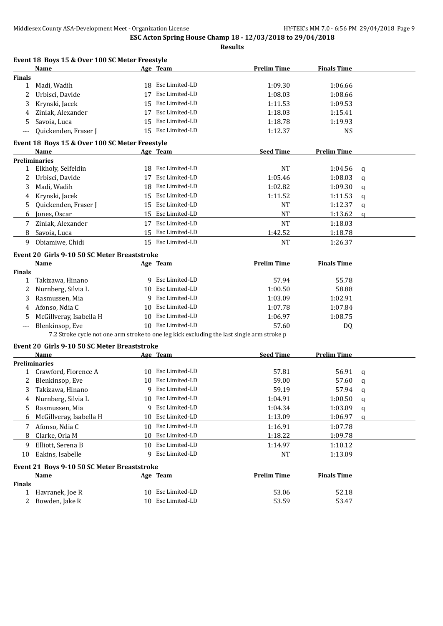|               | Event 18 Boys 15 & Over 100 SC Meter Freestyle                                             |    |                   |                    |                    |   |
|---------------|--------------------------------------------------------------------------------------------|----|-------------------|--------------------|--------------------|---|
|               | Name                                                                                       |    | Age Team          | <b>Prelim Time</b> | <b>Finals Time</b> |   |
| Finals        |                                                                                            |    |                   |                    |                    |   |
| 1             | Madi, Wadih                                                                                |    | 18 Esc Limited-LD | 1:09.30            | 1:06.66            |   |
| 2             | Urbisci, Davide                                                                            | 17 | Esc Limited-LD    | 1:08.03            | 1:08.66            |   |
| 3             | Krynski, Jacek                                                                             |    | 15 Esc Limited-LD | 1:11.53            | 1:09.53            |   |
| 4             | Ziniak, Alexander                                                                          | 17 | Esc Limited-LD    | 1:18.03            | 1:15.41            |   |
| 5             | Savoia, Luca                                                                               |    | 15 Esc Limited-LD | 1:18.78            | 1:19.93            |   |
| ---           | Quickenden, Fraser J                                                                       |    | 15 Esc Limited-LD | 1:12.37            | <b>NS</b>          |   |
|               | Event 18 Boys 15 & Over 100 SC Meter Freestyle                                             |    |                   |                    |                    |   |
|               | Name                                                                                       |    | <u>Age Team</u>   | <b>Seed Time</b>   | <b>Prelim Time</b> |   |
|               | <b>Preliminaries</b>                                                                       |    |                   |                    |                    |   |
| 1             | Elkholy, Selfeldin                                                                         |    | 18 Esc Limited-LD | <b>NT</b>          | 1:04.56            | q |
| 2             | Urbisci, Davide                                                                            |    | 17 Esc Limited-LD | 1:05.46            | 1:08.03            | a |
| 3             | Madi, Wadih                                                                                |    | 18 Esc Limited-LD | 1:02.82            | 1:09.30            | q |
| 4             | Krynski, Jacek                                                                             |    | 15 Esc Limited-LD | 1:11.52            | 1:11.53            | q |
| 5.            | Quickenden, Fraser J                                                                       |    | 15 Esc Limited-LD | <b>NT</b>          | 1:12.37            | q |
| 6             | Jones, Oscar                                                                               |    | 15 Esc Limited-LD | <b>NT</b>          | 1:13.62            | a |
| 7             | Ziniak, Alexander                                                                          |    | 17 Esc Limited-LD | <b>NT</b>          | 1:18.03            |   |
| 8             | Savoia, Luca                                                                               |    | 15 Esc Limited-LD | 1:42.52            | 1:18.78            |   |
| 9             | Obiamiwe, Chidi                                                                            |    | 15 Esc Limited-LD | <b>NT</b>          | 1:26.37            |   |
|               | Event 20 Girls 9-10 50 SC Meter Breaststroke                                               |    |                   |                    |                    |   |
|               | Name                                                                                       |    | Age Team          | <b>Prelim Time</b> | <b>Finals Time</b> |   |
| <b>Finals</b> |                                                                                            |    |                   |                    |                    |   |
| 1             | Takizawa, Hinano                                                                           |    | 9 Esc Limited-LD  | 57.94              | 55.78              |   |
| 2             | Nurnberg, Silvia L                                                                         |    | 10 Esc Limited-LD | 1:00.50            | 58.88              |   |
| 3             | Rasmussen, Mia                                                                             |    | 9 Esc Limited-LD  | 1:03.09            | 1:02.91            |   |
| 4             | Afonso, Ndia C                                                                             |    | 10 Esc Limited-LD | 1:07.78            | 1:07.84            |   |
| 5             | McGillveray, Isabella H                                                                    |    | 10 Esc Limited-LD | 1:06.97            | 1:08.75            |   |
| ---           | Blenkinsop, Eve                                                                            |    | 10 Esc Limited-LD | 57.60              | DQ                 |   |
|               | 7.2 Stroke cycle not one arm stroke to one leg kick excluding the last single arm stroke p |    |                   |                    |                    |   |
|               | Event 20 Girls 9-10 50 SC Meter Breaststroke                                               |    |                   |                    |                    |   |
|               | Name                                                                                       |    | Age Team          | <b>Seed Time</b>   | <b>Prelim Time</b> |   |
|               | <b>Preliminaries</b>                                                                       |    |                   |                    |                    |   |
|               | 1 Crawford, Florence A                                                                     |    | 10 Esc Limited-LD | 57.81              | 56.91              | a |
|               | Blenkinsop, Eve                                                                            |    | 10 Esc Limited-LD | 59.00              | 57.60              | q |
|               | Takizawa, Hinano                                                                           |    | 9 Esc Limited-LD  | 59.19              | 57.94              | q |
| 4             | Nurnberg, Silvia L                                                                         |    | 10 Esc Limited-LD | 1:04.91            | 1:00.50            | q |
| 5             | Rasmussen, Mia                                                                             |    | 9 Esc Limited-LD  | 1:04.34            | 1:03.09            | q |
| 6             | McGillveray, Isabella H                                                                    |    | 10 Esc Limited-LD | 1:13.09            | 1:06.97            | a |
| 7             | Afonso, Ndia C                                                                             |    | 10 Esc Limited-LD | 1:16.91            | 1:07.78            |   |
| 8             | Clarke, Orla M                                                                             |    | 10 Esc Limited-LD | 1:18.22            | 1:09.78            |   |
| 9             | Elliott, Serena B                                                                          |    | 10 Esc Limited-LD | 1:14.97            | 1:10.12            |   |
| 10            | Eakins, Isabelle                                                                           |    | 9 Esc Limited-LD  | <b>NT</b>          | 1:13.09            |   |
|               | Event 21 Boys 9-10 50 SC Meter Breaststroke                                                |    |                   |                    |                    |   |
|               | <u>Name</u>                                                                                |    | Age Team          | <b>Prelim Time</b> | <b>Finals Time</b> |   |
| <b>Finals</b> |                                                                                            |    |                   |                    |                    |   |
| 1             | Havranek, Joe R                                                                            |    | 10 Esc Limited-LD | 53.06              | 52.18              |   |
| 2             | Bowden, Jake R                                                                             |    | 10 Esc Limited-LD | 53.59              | 53.47              |   |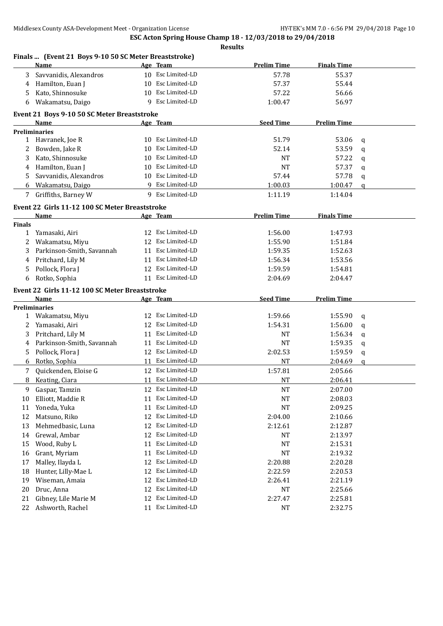|               | Finals  (Event 21 Boys 9-10 50 SC Meter Breaststroke) |    |                   |                    |                    |              |
|---------------|-------------------------------------------------------|----|-------------------|--------------------|--------------------|--------------|
|               | <b>Name</b>                                           |    | Age Team          | <b>Prelim Time</b> | <b>Finals Time</b> |              |
| 3             | Savvanidis, Alexandros                                |    | 10 Esc Limited-LD | 57.78              | 55.37              |              |
| 4             | Hamilton, Euan J                                      | 10 | Esc Limited-LD    | 57.37              | 55.44              |              |
| 5             | Kato, Shinnosuke                                      | 10 | Esc Limited-LD    | 57.22              | 56.66              |              |
| 6             | Wakamatsu, Daigo                                      | 9  | Esc Limited-LD    | 1:00.47            | 56.97              |              |
|               | Event 21 Boys 9-10 50 SC Meter Breaststroke           |    |                   |                    |                    |              |
|               | <b>Name</b>                                           |    | Age Team          | <b>Seed Time</b>   | <b>Prelim Time</b> |              |
|               | <b>Preliminaries</b>                                  |    |                   |                    |                    |              |
| 1             | Havranek, Joe R                                       |    | 10 Esc Limited-LD | 51.79              | 53.06              | q            |
| 2             | Bowden, Jake R                                        | 10 | Esc Limited-LD    | 52.14              | 53.59              | $\mathbf q$  |
| 3             | Kato, Shinnosuke                                      | 10 | Esc Limited-LD    | <b>NT</b>          | 57.22              | q            |
| 4             | Hamilton, Euan J                                      | 10 | Esc Limited-LD    | <b>NT</b>          | 57.37              | q            |
| 5             | Savvanidis, Alexandros                                | 10 | Esc Limited-LD    | 57.44              | 57.78              | q            |
| 6             | Wakamatsu, Daigo                                      |    | 9 Esc Limited-LD  | 1:00.03            | 1:00.47            | $\mathbf{q}$ |
| 7             | Griffiths, Barney W                                   |    | 9 Esc Limited-LD  | 1:11.19            | 1:14.04            |              |
|               | Event 22 Girls 11-12 100 SC Meter Breaststroke        |    |                   |                    |                    |              |
|               | Name                                                  |    | Age Team          | <b>Prelim Time</b> | <b>Finals Time</b> |              |
| <b>Finals</b> |                                                       |    |                   |                    |                    |              |
| $\mathbf{1}$  | Yamasaki, Airi                                        |    | 12 Esc Limited-LD | 1:56.00            | 1:47.93            |              |
| 2             | Wakamatsu, Miyu                                       |    | 12 Esc Limited-LD | 1:55.90            | 1:51.84            |              |
| 3             | Parkinson-Smith, Savannah                             | 11 | Esc Limited-LD    | 1:59.35            | 1:52.63            |              |
| 4             | Pritchard, Lily M                                     | 11 | Esc Limited-LD    | 1:56.34            | 1:53.56            |              |
| 5             | Pollock, Flora J                                      |    | 12 Esc Limited-LD | 1:59.59            | 1:54.81            |              |
| 6             | Rotko, Sophia                                         |    | 11 Esc Limited-LD | 2:04.69            | 2:04.47            |              |
|               | Event 22 Girls 11-12 100 SC Meter Breaststroke        |    |                   |                    |                    |              |
|               | <b>Name</b>                                           |    | <u>Age Team</u>   | <b>Seed Time</b>   | <b>Prelim Time</b> |              |
|               | <b>Preliminaries</b>                                  |    |                   |                    |                    |              |
| $\mathbf{1}$  | Wakamatsu, Miyu                                       |    | 12 Esc Limited-LD | 1:59.66            | 1:55.90            | q            |
| 2             | Yamasaki, Airi                                        | 12 | Esc Limited-LD    | 1:54.31            | 1:56.00            | q            |
| 3             | Pritchard, Lily M                                     | 11 | Esc Limited-LD    | <b>NT</b>          | 1:56.34            | q            |
| 4             | Parkinson-Smith, Savannah                             | 11 | Esc Limited-LD    | <b>NT</b>          | 1:59.35            | q            |
| 5             | Pollock, Flora J                                      | 12 | Esc Limited-LD    | 2:02.53            | 1:59.59            | q            |
| 6             | Rotko, Sophia                                         | 11 | Esc Limited-LD    | <b>NT</b>          | 2:04.69            | $\mathbf{q}$ |
| 7             | Quickenden, Eloise G                                  |    | 12 Esc Limited-LD | 1:57.81            | 2:05.66            |              |
| 8             | Keating, Ciara                                        |    | 11 Esc Limited-LD | NT                 | 2:06.41            |              |
| 9             | Gaspar, Tamzin                                        |    | 12 Esc Limited-LD | <b>NT</b>          | 2:07.00            |              |
| 10            | Elliott, Maddie R                                     | 11 | Esc Limited-LD    | <b>NT</b>          | 2:08.03            |              |
| 11            | Yoneda, Yuka                                          | 11 | Esc Limited-LD    | <b>NT</b>          | 2:09.25            |              |
| 12            | Matsuno, Riko                                         | 12 | Esc Limited-LD    | 2:04.00            | 2:10.66            |              |
| 13            | Mehmedbasic, Luna                                     | 12 | Esc Limited-LD    | 2:12.61            | 2:12.87            |              |
| 14            | Grewal, Ambar                                         | 12 | Esc Limited-LD    | NT                 | 2:13.97            |              |
| 15            | Wood, Ruby L                                          | 11 | Esc Limited-LD    | NT                 | 2:15.31            |              |
| 16            | Grant, Myriam                                         | 11 | Esc Limited-LD    | NT                 | 2:19.32            |              |
| 17            | Malley, Ilayda L                                      | 12 | Esc Limited-LD    | 2:20.88            | 2:20.28            |              |
| 18            | Hunter, Lilly-Mae L                                   | 12 | Esc Limited-LD    | 2:22.59            | 2:20.53            |              |
| 19            | Wiseman, Amaia                                        | 12 | Esc Limited-LD    | 2:26.41            | 2:21.19            |              |
| 20            | Druc, Anna                                            | 12 | Esc Limited-LD    | <b>NT</b>          | 2:25.66            |              |
| 21            | Gibney, Lile Marie M                                  | 12 | Esc Limited-LD    | 2:27.47            | 2:25.81            |              |
| 22            | Ashworth, Rachel                                      |    | 11 Esc Limited-LD | <b>NT</b>          | 2:32.75            |              |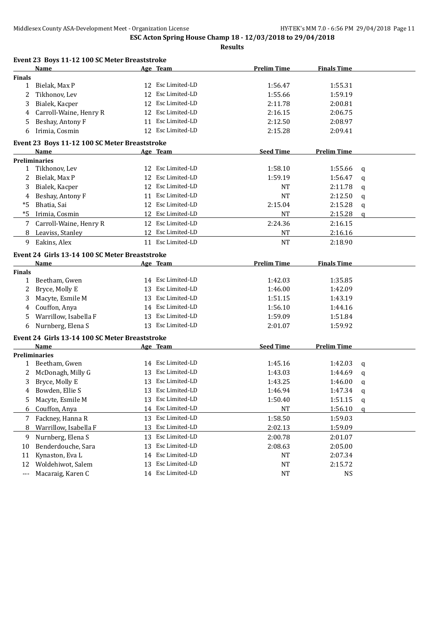|               | Event 23 Boys 11-12 100 SC Meter Breaststroke  |    |                   |                    |                    |   |
|---------------|------------------------------------------------|----|-------------------|--------------------|--------------------|---|
|               | <b>Name</b>                                    |    | Age Team          | <b>Prelim Time</b> | <b>Finals Time</b> |   |
| <b>Finals</b> |                                                |    |                   |                    |                    |   |
| 1             | Bielak, Max P                                  |    | 12 Esc Limited-LD | 1:56.47            | 1:55.31            |   |
| 2             | Tikhonov, Lev                                  | 12 | Esc Limited-LD    | 1:55.66            | 1:59.19            |   |
| 3             | Bialek, Kacper                                 | 12 | Esc Limited-LD    | 2:11.78            | 2:00.81            |   |
| 4             | Carroll-Waine, Henry R                         |    | 12 Esc Limited-LD | 2:16.15            | 2:06.75            |   |
| 5             | Beshay, Antony F                               |    | 11 Esc Limited-LD | 2:12.50            | 2:08.97            |   |
| 6             | Irimia, Cosmin                                 |    | 12 Esc Limited-LD | 2:15.28            | 2:09.41            |   |
|               | Event 23 Boys 11-12 100 SC Meter Breaststroke  |    |                   |                    |                    |   |
|               | Name                                           |    | Age Team          | <b>Seed Time</b>   | <b>Prelim Time</b> |   |
|               | <b>Preliminaries</b>                           |    |                   |                    |                    |   |
| 1             | Tikhonov, Lev                                  |    | 12 Esc Limited-LD | 1:58.10            | 1:55.66            | q |
|               | Bielak, Max P                                  |    | 12 Esc Limited-LD | 1:59.19            | 1:56.47            | q |
| 3             | Bialek, Kacper                                 |    | 12 Esc Limited-LD | NT                 | 2:11.78            | q |
| 4             | Beshay, Antony F                               |    | 11 Esc Limited-LD | <b>NT</b>          | 2:12.50            | q |
| *5            | Bhatia, Sai                                    |    | 12 Esc Limited-LD | 2:15.04            | 2:15.28            | q |
| *5            | Irimia, Cosmin                                 |    | 12 Esc Limited-LD | NT                 | 2:15.28            | a |
| 7             | Carroll-Waine, Henry R                         |    | 12 Esc Limited-LD | 2:24.36            | 2:16.15            |   |
| 8             | Leaviss, Stanley                               |    | 12 Esc Limited-LD | <b>NT</b>          | 2:16.16            |   |
| 9             | Eakins, Alex                                   |    | 11 Esc Limited-LD | <b>NT</b>          | 2:18.90            |   |
|               | Event 24 Girls 13-14 100 SC Meter Breaststroke |    |                   |                    |                    |   |
|               | Name                                           |    | Age Team          | <b>Prelim Time</b> | <b>Finals Time</b> |   |
| <b>Finals</b> |                                                |    |                   |                    |                    |   |
| 1             | Beetham, Gwen                                  |    | 14 Esc Limited-LD | 1:42.03            | 1:35.85            |   |
| 2             | Bryce, Molly E                                 |    | 13 Esc Limited-LD | 1:46.00            | 1:42.09            |   |
| 3             | Macyte, Esmile M                               |    | 13 Esc Limited-LD | 1:51.15            | 1:43.19            |   |
| 4             | Couffon, Anya                                  |    | 14 Esc Limited-LD | 1:56.10            | 1:44.16            |   |
| 5             | Warrillow, Isabella F                          |    | 13 Esc Limited-LD | 1:59.09            | 1:51.84            |   |
| 6             | Nurnberg, Elena S                              |    | 13 Esc Limited-LD | 2:01.07            | 1:59.92            |   |
|               | Event 24 Girls 13-14 100 SC Meter Breaststroke |    |                   |                    |                    |   |
|               | Name                                           |    | Age Team          | <b>Seed Time</b>   | <b>Prelim Time</b> |   |
|               | <b>Preliminaries</b>                           |    |                   |                    |                    |   |
|               | 1 Beetham, Gwen                                |    | 14 Esc Limited-LD | 1:45.16            | 1:42.03            | q |
|               | McDonagh, Milly G                              |    | 13 Esc Limited-LD | 1:43.03            | 1:44.69            | q |
|               | Bryce, Molly E                                 |    | 13 Esc Limited-LD | 1:43.25            | 1:46.00            | q |
|               | 4 Bowden, Ellie S                              |    | 13 Esc Limited-LD | 1:46.94            | 1:47.34            | q |
| 5             | Macyte, Esmile M                               |    | 13 Esc Limited-LD | 1:50.40            | 1:51.15            | q |
| 6             | Couffon, Anya                                  |    | 14 Esc Limited-LD | NT                 | 1:56.10            | a |
| 7             | Fackney, Hanna R                               | 13 | Esc Limited-LD    | 1:58.50            | 1:59.03            |   |
| 8             | Warrillow, Isabella F                          | 13 | Esc Limited-LD    | 2:02.13            | 1:59.09            |   |
| 9             | Nurnberg, Elena S                              |    | 13 Esc Limited-LD | 2:00.78            | 2:01.07            |   |
| 10            | Benderdouche, Sara                             | 13 | Esc Limited-LD    | 2:08.63            | 2:05.00            |   |
| 11            | Kynaston, Eva L                                |    | 14 Esc Limited-LD | NT                 | 2:07.34            |   |
| 12            | Woldehiwot, Salem                              | 13 | Esc Limited-LD    | NT                 | 2:15.72            |   |
| $---$         | Macaraig, Karen C                              |    | 14 Esc Limited-LD | NT                 | NS                 |   |
|               |                                                |    |                   |                    |                    |   |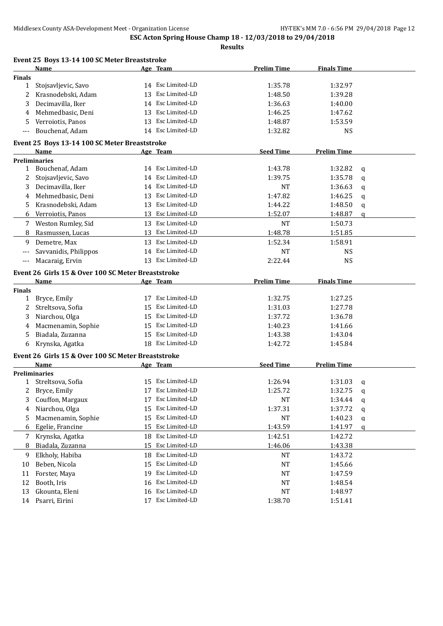|               | Event 25 Boys 13-14 100 SC Meter Breaststroke                     |                      |                    |                    |   |
|---------------|-------------------------------------------------------------------|----------------------|--------------------|--------------------|---|
|               | Name                                                              | Age Team             | <b>Prelim Time</b> | <b>Finals Time</b> |   |
| Finals        |                                                                   |                      |                    |                    |   |
| $\mathbf{1}$  | Stojsavljevic, Savo                                               | 14 Esc Limited-LD    | 1:35.78            | 1:32.97            |   |
| 2             | Krasnodebski, Adam                                                | 13 Esc Limited-LD    | 1:48.50            | 1:39.28            |   |
| 3             | Decimavilla, Iker                                                 | 14 Esc Limited-LD    | 1:36.63            | 1:40.00            |   |
| 4             | Mehmedbasic, Deni                                                 | 13 Esc Limited-LD    | 1:46.25            | 1:47.62            |   |
| 5             | Verroiotis, Panos                                                 | 13 Esc Limited-LD    | 1:48.87            | 1:53.59            |   |
|               | Bouchenaf, Adam                                                   | 14 Esc Limited-LD    | 1:32.82            | <b>NS</b>          |   |
|               | Event 25 Boys 13-14 100 SC Meter Breaststroke                     |                      |                    |                    |   |
|               | <b>Name</b>                                                       | <u>Age Team</u>      | <b>Seed Time</b>   | <b>Prelim Time</b> |   |
|               | <b>Preliminaries</b>                                              |                      |                    |                    |   |
| $\mathbf{1}$  | Bouchenaf, Adam                                                   | 14 Esc Limited-LD    | 1:43.78            | 1:32.82            | q |
| 2             | Stojsavljevic, Savo                                               | 14 Esc Limited-LD    | 1:39.75            | 1:35.78            | q |
| 3             | Decimavilla, Iker                                                 | 14 Esc Limited-LD    | NT                 | 1:36.63            | q |
| 4             | Mehmedbasic, Deni                                                 | 13 Esc Limited-LD    | 1:47.82            | 1:46.25            | q |
| 5             | Krasnodebski, Adam                                                | 13 Esc Limited-LD    | 1:44.22            | 1:48.50            | q |
| 6             | Verroiotis, Panos                                                 | 13 Esc Limited-LD    | 1:52.07            | 1:48.87            | a |
|               | 7 Weston Rumley, Sid                                              | 13 Esc Limited-LD    | <b>NT</b>          | 1:50.73            |   |
| 8             | Rasmussen, Lucas                                                  | 13 Esc Limited-LD    | 1:48.78            | 1:51.85            |   |
| 9             | Demetre, Max                                                      | 13 Esc Limited-LD    | 1:52.34            | 1:58.91            |   |
| ---           | Savvanidis, Philippos                                             | 14 Esc Limited-LD    | NT                 | <b>NS</b>          |   |
| $---$         | Macaraig, Ervin                                                   | 13 Esc Limited-LD    | 2:22.44            | <b>NS</b>          |   |
|               |                                                                   |                      |                    |                    |   |
|               | Event 26 Girls 15 & Over 100 SC Meter Breaststroke<br>Name        | Age Team             | <b>Prelim Time</b> | <b>Finals Time</b> |   |
| <b>Finals</b> |                                                                   |                      |                    |                    |   |
| $\mathbf{1}$  | Bryce, Emily                                                      | 17 Esc Limited-LD    | 1:32.75            | 1:27.25            |   |
| 2             | Streltsova, Sofia                                                 | 15 Esc Limited-LD    | 1:31.03            | 1:27.78            |   |
| 3             | Niarchou, Olga                                                    | 15 Esc Limited-LD    | 1:37.72            | 1:36.78            |   |
| 4             | Macmenamin, Sophie                                                | 15 Esc Limited-LD    | 1:40.23            | 1:41.66            |   |
| 5             | Biadala, Zuzanna                                                  | 15 Esc Limited-LD    | 1:43.38            | 1:43.04            |   |
| 6             | Krynska, Agatka                                                   | 18 Esc Limited-LD    | 1:42.72            | 1:45.84            |   |
|               |                                                                   |                      |                    |                    |   |
|               | Event 26 Girls 15 & Over 100 SC Meter Breaststroke<br><b>Name</b> | Age Team             | <b>Seed Time</b>   | <b>Prelim Time</b> |   |
|               | <b>Preliminaries</b>                                              |                      |                    |                    |   |
|               | 1 Streltsova, Sofia                                               | 15 Esc Limited-LD    | 1:26.94            | 1:31.03            | q |
| 2             | Bryce, Emily                                                      | 17 Esc Limited-LD    | 1:25.72            | 1:32.75            | q |
| 3             | Couffon, Margaux                                                  | Esc Limited-LD<br>17 | NT                 | 1:34.44            | q |
| 4             | Niarchou, Olga                                                    | Esc Limited-LD<br>15 | 1:37.31            | 1:37.72            | q |
| 5             | Macmenamin, Sophie                                                | Esc Limited-LD<br>15 | NT                 | 1:40.23            | q |
| 6             | Egelie, Francine                                                  | Esc Limited-LD<br>15 | 1:43.59            | 1:41.97            | q |
|               |                                                                   | 18 Esc Limited-LD    |                    |                    |   |
| 7             | Krynska, Agatka                                                   | Esc Limited-LD<br>15 | 1:42.51<br>1:46.06 | 1:42.72            |   |
| 8             | Biadala, Zuzanna                                                  |                      |                    | 1:43.38            |   |
| 9             | Elkholy, Habiba                                                   | Esc Limited-LD<br>18 | NT                 | 1:43.72            |   |
| 10            | Beben, Nicola                                                     | Esc Limited-LD<br>15 | NT                 | 1:45.66            |   |
| 11            | Forster, Maya                                                     | Esc Limited-LD<br>19 | NT                 | 1:47.59            |   |
| 12            | Booth, Iris                                                       | Esc Limited-LD<br>16 | NT                 | 1:48.54            |   |
| 13            | Gkounta, Eleni                                                    | Esc Limited-LD<br>16 | NT                 | 1:48.97            |   |
| 14            | Psarri, Eirini                                                    | 17 Esc Limited-LD    | 1:38.70            | 1:51.41            |   |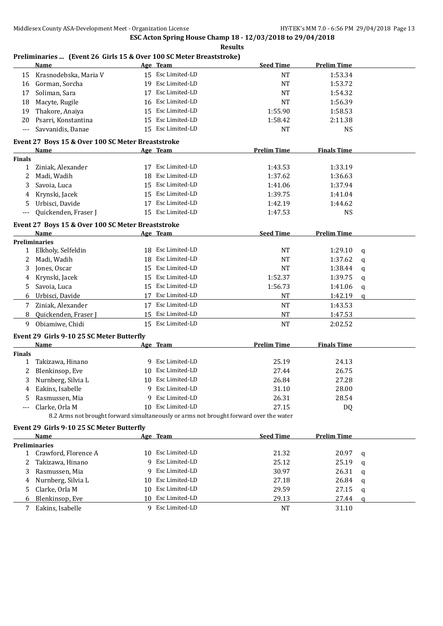#### **Preliminaries ... (Event 26 Girls 15 & Over 100 SC Meter Breaststroke)**

|                 | Name                                                                                   |    | Age Team          | <b>Seed Time</b>   | <b>Prelim Time</b> |   |
|-----------------|----------------------------------------------------------------------------------------|----|-------------------|--------------------|--------------------|---|
| 15              | Krasnodebska, Maria V                                                                  |    | 15 Esc Limited-LD | <b>NT</b>          | 1:53.34            |   |
| 16              | Gorman, Sorcha                                                                         | 19 | Esc Limited-LD    | <b>NT</b>          | 1:53.72            |   |
| 17              | Soliman, Sara                                                                          | 17 | Esc Limited-LD    | <b>NT</b>          | 1:54.32            |   |
| 18              | Macyte, Rugile                                                                         | 16 | Esc Limited-LD    | <b>NT</b>          | 1:56.39            |   |
| 19              | Thakore, Anaiya                                                                        | 15 | Esc Limited-LD    | 1:55.90            | 1:58.53            |   |
| 20              | Psarri, Konstantina                                                                    |    | 15 Esc Limited-LD | 1:58.42            | 2:11.38            |   |
| $---$           | Savvanidis, Danae                                                                      |    | 15 Esc Limited-LD | <b>NT</b>          | <b>NS</b>          |   |
|                 | Event 27 Boys 15 & Over 100 SC Meter Breaststroke                                      |    |                   |                    |                    |   |
|                 | <b>Name</b>                                                                            |    | Age Team          | <b>Prelim Time</b> | <b>Finals Time</b> |   |
| Finals          |                                                                                        |    |                   |                    |                    |   |
| 1               | Ziniak, Alexander                                                                      |    | 17 Esc Limited-LD | 1:43.53            | 1:33.19            |   |
| 2               | Madi, Wadih                                                                            |    | 18 Esc Limited-LD | 1:37.62            | 1:36.63            |   |
| 3               | Savoia, Luca                                                                           |    | 15 Esc Limited-LD | 1:41.06            | 1:37.94            |   |
| 4               | Krynski, Jacek                                                                         |    | 15 Esc Limited-LD | 1:39.75            | 1:41.04            |   |
| 5               | Urbisci, Davide                                                                        |    | 17 Esc Limited-LD | 1:42.19            | 1:44.62            |   |
| $---$           | Quickenden, Fraser J                                                                   |    | 15 Esc Limited-LD | 1:47.53            | <b>NS</b>          |   |
|                 |                                                                                        |    |                   |                    |                    |   |
|                 | Event 27 Boys 15 & Over 100 SC Meter Breaststroke                                      |    |                   |                    |                    |   |
|                 | Name                                                                                   |    | Age Team          | <b>Seed Time</b>   | <b>Prelim Time</b> |   |
| 1               | <b>Preliminaries</b><br>Elkholy, Selfeldin                                             |    | 18 Esc Limited-LD | <b>NT</b>          | 1:29.10            |   |
| 2               | Madi, Wadih                                                                            |    | 18 Esc Limited-LD | <b>NT</b>          | 1:37.62            | q |
| 3               | Jones, Oscar                                                                           |    | 15 Esc Limited-LD | NT                 | 1:38.44            | q |
|                 | Krynski, Jacek                                                                         |    | 15 Esc Limited-LD | 1:52.37            | 1:39.75            | q |
| 4<br>5          | Savoia, Luca                                                                           |    | 15 Esc Limited-LD | 1:56.73            | 1:41.06            | q |
| 6               | Urbisci, Davide                                                                        | 17 | Esc Limited-LD    | NT                 | 1:42.19            | q |
|                 |                                                                                        |    | 17 Esc Limited-LD |                    |                    | q |
| 7               | Ziniak, Alexander                                                                      |    | 15 Esc Limited-LD | <b>NT</b>          | 1:43.53            |   |
| 8               | Quickenden, Fraser J                                                                   |    |                   | <b>NT</b>          | 1:47.53            |   |
| 9               | Obiamiwe, Chidi                                                                        |    | 15 Esc Limited-LD | <b>NT</b>          | 2:02.52            |   |
|                 | Event 29 Girls 9-10 25 SC Meter Butterfly                                              |    |                   |                    |                    |   |
|                 | <b>Name</b>                                                                            |    | Age Team          | <b>Prelim Time</b> | <b>Finals Time</b> |   |
| <b>Finals</b>   |                                                                                        |    |                   |                    |                    |   |
| 1               | Takizawa, Hinano                                                                       |    | 9 Esc Limited-LD  | 25.19              | 24.13              |   |
| 2               | Blenkinsop, Eve                                                                        |    | 10 Esc Limited-LD | 27.44              | 26.75              |   |
| 3               | Nurnberg, Silvia L                                                                     |    | 10 Esc Limited-LD | 26.84              | 27.28              |   |
| 4               | Eakins, Isabelle                                                                       |    | 9 Esc Limited-LD  | 31.10              | 28.00              |   |
|                 | Rasmussen, Mia                                                                         |    | 9 Esc Limited-LD  | 26.31              | 28.54              |   |
|                 | Clarke, Orla M                                                                         |    | 10 Esc Limited-LD | 27.15              | DQ                 |   |
|                 | 8.2 Arms not brought forward simultaneously or arms not brought forward over the water |    |                   |                    |                    |   |
|                 | Event 29 Girls 9-10 25 SC Meter Butterfly                                              |    |                   |                    |                    |   |
|                 | Name                                                                                   |    | Age Team          | <b>Seed Time</b>   | <b>Prelim Time</b> |   |
|                 | <b>Preliminaries</b>                                                                   |    |                   |                    |                    |   |
|                 | 1 Crawford, Florence A                                                                 |    | 10 Esc Limited-LD | 21.32              | 20.97              | q |
| 2               | Takizawa, Hinano                                                                       |    | 9 Esc Limited-LD  | 25.12              | 25.19              | q |
| 3               | Rasmussen, Mia                                                                         |    | 9 Esc Limited-LD  | 30.97              | 26.31              | q |
| 4               | Nurnberg, Silvia L                                                                     | 10 | Esc Limited-LD    | 27.18              | 26.84              | q |
| 5               | Clarke, Orla M                                                                         |    | 10 Esc Limited-LD | 29.59              | 27.15              | q |
| 6               | Blenkinsop, Eve                                                                        |    | 10 Esc Limited-LD | 29.13              | 27.44              | q |
| $7\overline{ }$ | Eakins, Isabelle                                                                       |    | 9 Esc Limited-LD  | NT                 | 31.10              |   |
|                 |                                                                                        |    |                   |                    |                    |   |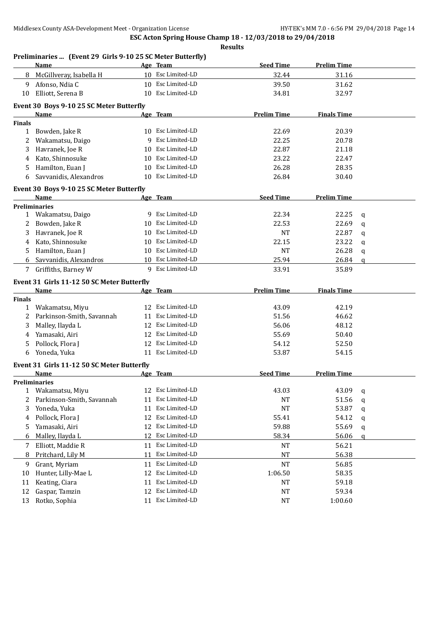|               | Preliminaries  (Event 29 Girls 9-10 25 SC Meter Butterfly) |    |                   |                    |                    |              |
|---------------|------------------------------------------------------------|----|-------------------|--------------------|--------------------|--------------|
|               | <b>Name</b>                                                |    | Age Team          | <b>Seed Time</b>   | <b>Prelim Time</b> |              |
| 8             | McGillveray, Isabella H                                    |    | 10 Esc Limited-LD | 32.44              | 31.16              |              |
| 9             | Afonso, Ndia C                                             |    | 10 Esc Limited-LD | 39.50              | 31.62              |              |
| 10            | Elliott, Serena B                                          |    | 10 Esc Limited-LD | 34.81              | 32.97              |              |
|               | Event 30 Boys 9-10 25 SC Meter Butterfly                   |    |                   |                    |                    |              |
|               | Name                                                       |    | Age Team          | <b>Prelim Time</b> | <b>Finals Time</b> |              |
| <b>Finals</b> |                                                            |    |                   |                    |                    |              |
| $\mathbf{1}$  | Bowden, Jake R                                             |    | 10 Esc Limited-LD | 22.69              | 20.39              |              |
| 2             | Wakamatsu, Daigo                                           |    | 9 Esc Limited-LD  | 22.25              | 20.78              |              |
| 3             | Havranek, Joe R                                            |    | 10 Esc Limited-LD | 22.87              | 21.18              |              |
| 4             | Kato, Shinnosuke                                           |    | 10 Esc Limited-LD | 23.22              | 22.47              |              |
| 5             | Hamilton, Euan J                                           | 10 | Esc Limited-LD    | 26.28              | 28.35              |              |
| 6             | Savvanidis, Alexandros                                     | 10 | Esc Limited-LD    | 26.84              | 30.40              |              |
|               | Event 30 Boys 9-10 25 SC Meter Butterfly                   |    |                   |                    |                    |              |
|               | Name                                                       |    | Age Team          | <b>Seed Time</b>   | <b>Prelim Time</b> |              |
|               | <b>Preliminaries</b>                                       |    |                   |                    |                    |              |
|               | 1 Wakamatsu, Daigo                                         |    | 9 Esc Limited-LD  | 22.34              | 22.25              | q            |
| 2             | Bowden, Jake R                                             | 10 | Esc Limited-LD    | 22.53              | 22.69              | q            |
| 3             | Havranek, Joe R                                            | 10 | Esc Limited-LD    | NT                 | 22.87              | q            |
| 4             | Kato, Shinnosuke                                           | 10 | Esc Limited-LD    | 22.15              | 23.22              | q            |
| 5.            | Hamilton, Euan J                                           | 10 | Esc Limited-LD    | <b>NT</b>          | 26.28              | q            |
|               | 6 Savvanidis, Alexandros                                   |    | 10 Esc Limited-LD | 25.94              | 26.84              | $\mathbf{q}$ |
|               | 7 Griffiths, Barney W                                      |    | 9 Esc Limited-LD  | 33.91              | 35.89              |              |
|               | Event 31 Girls 11-12 50 SC Meter Butterfly                 |    |                   |                    |                    |              |
|               | Name                                                       |    | Age Team          | <b>Prelim Time</b> | <b>Finals Time</b> |              |
| <b>Finals</b> |                                                            |    |                   |                    |                    |              |
|               |                                                            |    |                   |                    |                    |              |
|               | 1 Wakamatsu, Miyu                                          |    | 12 Esc Limited-LD | 43.09              | 42.19              |              |
| 2             | Parkinson-Smith, Savannah                                  |    | 11 Esc Limited-LD | 51.56              | 46.62              |              |
| 3             | Malley, Ilayda L                                           |    | 12 Esc Limited-LD | 56.06              | 48.12              |              |
| 4             | Yamasaki, Airi                                             |    | 12 Esc Limited-LD | 55.69              | 50.40              |              |
| 5             | Pollock, Flora J                                           |    | 12 Esc Limited-LD | 54.12              | 52.50              |              |
| 6             | Yoneda, Yuka                                               |    | 11 Esc Limited-LD | 53.87              | 54.15              |              |
|               |                                                            |    |                   |                    |                    |              |
|               | Event 31 Girls 11-12 50 SC Meter Butterfly<br>Name         |    | Age Team          | <b>Seed Time</b>   | <b>Prelim Time</b> |              |
|               | <b>Preliminaries</b>                                       |    |                   |                    |                    |              |
| 1             | Wakamatsu, Miyu                                            | 12 | Esc Limited-LD    | 43.03              | 43.09              | q            |
| 2             | Parkinson-Smith, Savannah                                  | 11 | Esc Limited-LD    | <b>NT</b>          | 51.56              | q            |
| 3             | Yoneda, Yuka                                               | 11 | Esc Limited-LD    | <b>NT</b>          | 53.87              | q            |
| 4             | Pollock, Flora J                                           | 12 | Esc Limited-LD    | 55.41              | 54.12              | q            |
| 5             | Yamasaki, Airi                                             | 12 | Esc Limited-LD    | 59.88              | 55.69              | q            |
| 6             | Malley, Ilayda L                                           | 12 | Esc Limited-LD    | 58.34              | 56.06              | q            |
| 7             | Elliott, Maddie R                                          | 11 | Esc Limited-LD    | NT                 | 56.21              |              |
| 8             | Pritchard, Lily M                                          | 11 | Esc Limited-LD    | NT                 | 56.38              |              |
| 9             | Grant, Myriam                                              | 11 | Esc Limited-LD    | <b>NT</b>          | 56.85              |              |
| 10            | Hunter, Lilly-Mae L                                        | 12 | Esc Limited-LD    | 1:06.50            | 58.35              |              |
| 11            | Keating, Ciara                                             | 11 | Esc Limited-LD    | NT                 | 59.18              |              |
| 12            | Gaspar, Tamzin                                             | 12 | Esc Limited-LD    | NT                 | 59.34              |              |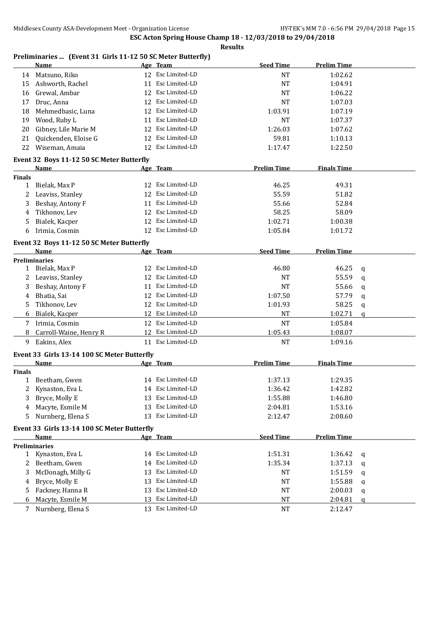#### **Preliminaries ... (Event 31 Girls 11-12 50 SC Meter Butterfly)**

|               | Name                                        |    | Age Team          | <b>Seed Time</b>   | <b>Prelim Time</b> |   |  |
|---------------|---------------------------------------------|----|-------------------|--------------------|--------------------|---|--|
| 14            | Matsuno, Riko                               |    | 12 Esc Limited-LD | NT                 | 1:02.62            |   |  |
| 15            | Ashworth, Rachel                            | 11 | Esc Limited-LD    | <b>NT</b>          | 1:04.91            |   |  |
| 16            | Grewal, Ambar                               | 12 | Esc Limited-LD    | <b>NT</b>          | 1:06.22            |   |  |
| 17            | Druc, Anna                                  | 12 | Esc Limited-LD    | <b>NT</b>          | 1:07.03            |   |  |
| 18            | Mehmedbasic, Luna                           | 12 | Esc Limited-LD    | 1:03.91            | 1:07.19            |   |  |
| 19            | Wood, Ruby L                                | 11 | Esc Limited-LD    | NT                 | 1:07.37            |   |  |
| 20            | Gibney, Lile Marie M                        | 12 | Esc Limited-LD    | 1:26.03            | 1:07.62            |   |  |
| 21            | Quickenden, Eloise G                        | 12 | Esc Limited-LD    | 59.81              | 1:10.13            |   |  |
| 22            | Wiseman, Amaia                              | 12 | Esc Limited-LD    | 1:17.47            | 1:22.50            |   |  |
|               |                                             |    |                   |                    |                    |   |  |
|               | Event 32 Boys 11-12 50 SC Meter Butterfly   |    |                   |                    |                    |   |  |
|               | <b>Name</b>                                 |    | Age Team          | <b>Prelim Time</b> | <b>Finals Time</b> |   |  |
| Finals        |                                             |    |                   |                    |                    |   |  |
| 1             | Bielak, Max P                               |    | 12 Esc Limited-LD | 46.25              | 49.31              |   |  |
| 2             | Leaviss, Stanley                            |    | 12 Esc Limited-LD | 55.59              | 51.82              |   |  |
| 3             | Beshay, Antony F                            |    | 11 Esc Limited-LD | 55.66              | 52.84              |   |  |
| 4             | Tikhonov, Lev                               |    | 12 Esc Limited-LD | 58.25              | 58.09              |   |  |
| 5             | Bialek, Kacper                              |    | 12 Esc Limited-LD | 1:02.71            | 1:00.38            |   |  |
| 6             | Irimia, Cosmin                              |    | 12 Esc Limited-LD | 1:05.84            | 1:01.72            |   |  |
|               | Event 32 Boys 11-12 50 SC Meter Butterfly   |    |                   |                    |                    |   |  |
|               | Name                                        |    | Age Team          | <b>Seed Time</b>   | <b>Prelim Time</b> |   |  |
|               | <b>Preliminaries</b>                        |    |                   |                    |                    |   |  |
| 1             | Bielak, Max P                               |    | 12 Esc Limited-LD | 46.80              | 46.25              | q |  |
| 2             | Leaviss, Stanley                            |    | 12 Esc Limited-LD | <b>NT</b>          | 55.59              | q |  |
| 3             | Beshay, Antony F                            | 11 | Esc Limited-LD    | <b>NT</b>          | 55.66              | q |  |
| 4             | Bhatia, Sai                                 |    | 12 Esc Limited-LD | 1:07.50            | 57.79              | q |  |
| 5             | Tikhonov, Lev                               | 12 | Esc Limited-LD    | 1:01.93            | 58.25              | q |  |
| 6             | Bialek, Kacper                              | 12 | Esc Limited-LD    | <b>NT</b>          | 1:02.71            | q |  |
|               |                                             |    | 12 Esc Limited-LD |                    |                    |   |  |
| 7             | Irimia, Cosmin                              |    | 12 Esc Limited-LD | <b>NT</b>          | 1:05.84            |   |  |
| 8             | Carroll-Waine, Henry R                      |    |                   | 1:05.43            | 1:08.07            |   |  |
| 9             | Eakins, Alex                                |    | 11 Esc Limited-LD | NT                 | 1:09.16            |   |  |
|               | Event 33 Girls 13-14 100 SC Meter Butterfly |    |                   |                    |                    |   |  |
|               | Name                                        |    | Age Team          | <b>Prelim Time</b> | <b>Finals Time</b> |   |  |
| <b>Finals</b> |                                             |    |                   |                    |                    |   |  |
| 1             | Beetham, Gwen                               |    | 14 Esc Limited-LD | 1:37.13            | 1:29.35            |   |  |
|               | Kynaston, Eva L                             |    | 14 Esc Limited-LD | 1:36.42            | 1:42.82            |   |  |
|               | 3 Bryce, Molly E                            |    | 13 Esc Limited-LD | 1:55.88            | 1:46.80            |   |  |
| 4             | Macyte, Esmile M                            | 13 | Esc Limited-LD    | 2:04.81            | 1:53.16            |   |  |
| 5.            | Nurnberg, Elena S                           | 13 | Esc Limited-LD    | 2:12.47            | 2:08.60            |   |  |
|               | Event 33 Girls 13-14 100 SC Meter Butterfly |    |                   |                    |                    |   |  |
|               | Name                                        |    | Age Team          | <b>Seed Time</b>   | <b>Prelim Time</b> |   |  |
|               | <b>Preliminaries</b>                        |    |                   |                    |                    |   |  |
| $\mathbf{1}$  | Kynaston, Eva L                             |    | 14 Esc Limited-LD | 1:51.31            | 1:36.42            | q |  |
| 2             | Beetham, Gwen                               |    | 14 Esc Limited-LD | 1:35.34            | 1:37.13            | q |  |
| 3             | McDonagh, Milly G                           | 13 | Esc Limited-LD    | NT                 | 1:51.59            |   |  |
|               | Bryce, Molly E                              | 13 | Esc Limited-LD    | NT                 | 1:55.88            | q |  |
| 4             | Fackney, Hanna R                            |    | Esc Limited-LD    |                    |                    | q |  |
| 5             |                                             | 13 |                   | <b>NT</b>          | 2:00.03            | q |  |
| 6             | Macyte, Esmile M<br>13                      |    | Esc Limited-LD    | <b>NT</b>          | 2:04.81            | q |  |
| 7             | Nurnberg, Elena S                           |    | 13 Esc Limited-LD | <b>NT</b>          | 2:12.47            |   |  |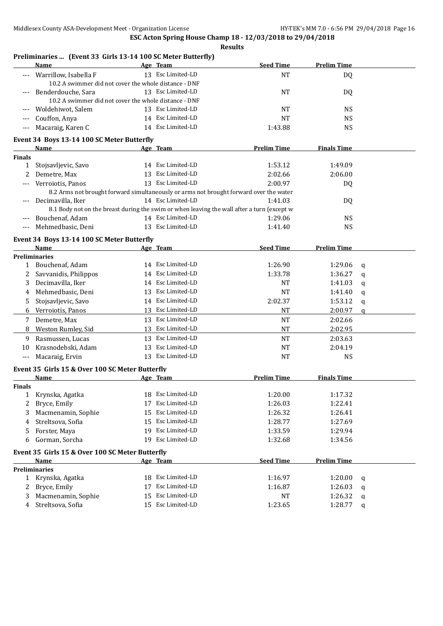|                    | Name                                                                                       |    | Age Team          | <b>Seed Time</b>   | <b>Prelim Time</b> |   |
|--------------------|--------------------------------------------------------------------------------------------|----|-------------------|--------------------|--------------------|---|
|                    | Warrillow, Isabella F                                                                      |    | 13 Esc Limited-LD | <b>NT</b>          | DQ                 |   |
|                    | 10.2 A swimmer did not cover the whole distance - DNF                                      |    |                   |                    |                    |   |
|                    | Benderdouche, Sara                                                                         |    | 13 Esc Limited-LD | <b>NT</b>          | DQ                 |   |
|                    | 10.2 A swimmer did not cover the whole distance - DNF                                      |    |                   |                    |                    |   |
|                    | Woldehiwot, Salem                                                                          |    | 13 Esc Limited-LD | <b>NT</b>          | <b>NS</b>          |   |
| $---$              | Couffon, Anya                                                                              |    | 14 Esc Limited-LD | <b>NT</b>          | <b>NS</b>          |   |
| $---$              | Macaraig, Karen C                                                                          |    | 14 Esc Limited-LD | 1:43.88            | <b>NS</b>          |   |
|                    | Event 34 Boys 13-14 100 SC Meter Butterfly                                                 |    |                   |                    |                    |   |
|                    | Name                                                                                       |    | Age Team          | <b>Prelim Time</b> | <b>Finals Time</b> |   |
| <b>Finals</b>      |                                                                                            |    |                   |                    |                    |   |
| $\mathbf{1}$       | Stojsavljevic, Savo                                                                        |    | 14 Esc Limited-LD | 1:53.12            | 1:49.09            |   |
| 2                  | Demetre, Max                                                                               |    | 13 Esc Limited-LD | 2:02.66            | 2:06.00            |   |
|                    | Verroiotis, Panos                                                                          |    | 13 Esc Limited-LD | 2:00.97            | DQ                 |   |
|                    | 8.2 Arms not brought forward simultaneously or arms not brought forward over the water     |    |                   |                    |                    |   |
|                    | Decimavilla, Iker                                                                          |    | 14 Esc Limited-LD | 1:41.03            | DQ                 |   |
|                    | 8.1 Body not on the breast during the swim or when leaving the wall after a turn (except w |    |                   |                    |                    |   |
|                    | Bouchenaf, Adam                                                                            |    | 14 Esc Limited-LD | 1:29.06            | <b>NS</b>          |   |
| $---$              | Mehmedbasic, Deni                                                                          |    | 13 Esc Limited-LD | 1:41.40            | <b>NS</b>          |   |
|                    | Event 34 Boys 13-14 100 SC Meter Butterfly                                                 |    |                   |                    |                    |   |
|                    | Name                                                                                       |    | Age Team          | <b>Seed Time</b>   | <b>Prelim Time</b> |   |
|                    | <b>Preliminaries</b>                                                                       |    |                   |                    |                    |   |
| $\mathbf{1}$       | Bouchenaf, Adam                                                                            |    | 14 Esc Limited-LD | 1:26.90            | 1:29.06            | q |
|                    | Savvanidis, Philippos                                                                      |    | 14 Esc Limited-LD | 1:33.78            | 1:36.27            | q |
| 3                  | Decimavilla, Iker                                                                          |    | 14 Esc Limited-LD | NT                 | 1:41.03            | q |
| 4                  | Mehmedbasic, Deni                                                                          |    | 13 Esc Limited-LD | <b>NT</b>          | 1:41.40            | q |
| 5                  | Stojsavljevic, Savo                                                                        |    | 14 Esc Limited-LD | 2:02.37            | 1:53.12            | q |
| 6                  | Verroiotis, Panos                                                                          |    | 13 Esc Limited-LD | NT                 | 2:00.97            | a |
| 7                  | Demetre, Max                                                                               |    | 13 Esc Limited-LD | <b>NT</b>          | 2:02.66            |   |
| 8                  | Weston Rumley, Sid                                                                         |    | 13 Esc Limited-LD | <b>NT</b>          | 2:02.95            |   |
| 9                  | Rasmussen, Lucas                                                                           |    | 13 Esc Limited-LD | <b>NT</b>          | 2:03.63            |   |
| 10                 | Krasnodebski, Adam                                                                         |    | 13 Esc Limited-LD | <b>NT</b>          | 2:04.19            |   |
| $---$              | Macaraig, Ervin                                                                            |    | 13 Esc Limited-LD | <b>NT</b>          | <b>NS</b>          |   |
|                    |                                                                                            |    |                   |                    |                    |   |
|                    | Event 35 Girls 15 & Over 100 SC Meter Butterfly                                            |    |                   |                    |                    |   |
|                    | Name                                                                                       |    | Age Team          | <b>Prelim Time</b> | <b>Finals Time</b> |   |
| <b>Finals</b><br>1 | Krynska, Agatka                                                                            |    | 18 Esc Limited-LD | 1:20.00            | 1:17.32            |   |
|                    | Bryce, Emily                                                                               |    | 17 Esc Limited-LD | 1:26.03            | 1:22.41            |   |
| 3                  | Macmenamin, Sophie                                                                         | 15 | Esc Limited-LD    | 1:26.32            | 1:26.41            |   |
|                    | Streltsova, Sofia                                                                          | 15 | Esc Limited-LD    | 1:28.77            | 1:27.69            |   |
| 4                  | Forster, Maya                                                                              |    | 19 Esc Limited-LD | 1:33.59            | 1:29.94            |   |
| 5<br>6             | Gorman, Sorcha                                                                             |    | 19 Esc Limited-LD | 1:32.68            | 1:34.56            |   |
|                    |                                                                                            |    |                   |                    |                    |   |
|                    | Event 35 Girls 15 & Over 100 SC Meter Butterfly                                            |    |                   |                    |                    |   |
|                    | Name                                                                                       |    | Age Team          | <b>Seed Time</b>   | <b>Prelim Time</b> |   |
|                    | <b>Preliminaries</b>                                                                       |    |                   |                    |                    |   |
| 1                  | Krynska, Agatka                                                                            |    | 18 Esc Limited-LD | 1:16.97            | 1:20.00            | q |
| 2                  | Bryce, Emily                                                                               |    | 17 Esc Limited-LD | 1:16.87            | 1:26.03            | q |
| 3                  | Macmenamin, Sophie                                                                         |    | 15 Esc Limited-LD | NT                 | 1:26.32            | q |
| 4                  | Streltsova, Sofia                                                                          |    | 15 Esc Limited-LD | 1:23.65            | 1:28.77            | q |

#### **Preliminaries ... (Event 33 Girls 13-14 100 SC Meter Butterfly)**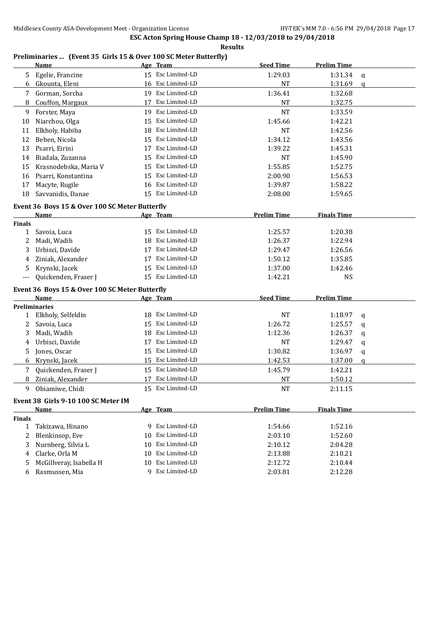#### **Preliminaries ... (Event 35 Girls 15 & Over 100 SC Meter Butterfly)**

|        | Name                                           |    | Age Team          | <b>Seed Time</b>   | <b>Prelim Time</b> |              |
|--------|------------------------------------------------|----|-------------------|--------------------|--------------------|--------------|
| 5      | Egelie, Francine                               |    | 15 Esc Limited-LD | 1:29.03            | 1:31.34            | q            |
| 6      | Gkounta, Eleni                                 |    | 16 Esc Limited-LD | <b>NT</b>          | 1:31.69            | $\mathbf q$  |
| 7      | Gorman, Sorcha                                 |    | 19 Esc Limited-LD | 1:36.41            | 1:32.68            |              |
| 8      | Couffon, Margaux                               |    | 17 Esc Limited-LD | <b>NT</b>          | 1:32.75            |              |
| 9      | Forster, Maya                                  |    | 19 Esc Limited-LD | <b>NT</b>          | 1:33.59            |              |
| 10     | Niarchou, Olga                                 | 15 | Esc Limited-LD    | 1:45.66            | 1:42.21            |              |
| 11     | Elkholy, Habiba                                | 18 | Esc Limited-LD    | <b>NT</b>          | 1:42.56            |              |
| 12     | Beben, Nicola                                  | 15 | Esc Limited-LD    | 1:34.12            | 1:43.56            |              |
| 13     | Psarri, Eirini                                 | 17 | Esc Limited-LD    | 1:39.22            | 1:45.31            |              |
| 14     | Biadala, Zuzanna                               | 15 | Esc Limited-LD    | <b>NT</b>          | 1:45.90            |              |
| 15     | Krasnodebska, Maria V                          | 15 | Esc Limited-LD    | 1:55.85            | 1:52.75            |              |
| 16     | Psarri, Konstantina                            | 15 | Esc Limited-LD    | 2:00.90            | 1:56.53            |              |
| 17     | Macyte, Rugile                                 | 16 | Esc Limited-LD    | 1:39.87            | 1:58.22            |              |
| 18     | Savvanidis, Danae                              |    | 15 Esc Limited-LD | 2:08.00            | 1:59.65            |              |
|        | Event 36 Boys 15 & Over 100 SC Meter Butterfly |    |                   |                    |                    |              |
|        | <b>Name</b>                                    |    | Age Team          | <b>Prelim Time</b> | <b>Finals Time</b> |              |
| Finals |                                                |    |                   |                    |                    |              |
| 1      | Savoia, Luca                                   |    | 15 Esc Limited-LD | 1:25.57            | 1:20.38            |              |
| 2      | Madi, Wadih                                    |    | 18 Esc Limited-LD | 1:26.37            | 1:22.94            |              |
| 3      | Urbisci, Davide                                |    | 17 Esc Limited-LD | 1:29.47            | 1:26.56            |              |
| 4      | Ziniak, Alexander                              | 17 | Esc Limited-LD    | 1:50.12            | 1:35.85            |              |
| 5      | Krynski, Jacek                                 |    | 15 Esc Limited-LD | 1:37.00            | 1:42.46            |              |
|        | Quickenden, Fraser J                           |    | 15 Esc Limited-LD | 1:42.21            | <b>NS</b>          |              |
|        | Event 36 Boys 15 & Over 100 SC Meter Butterfly |    |                   |                    |                    |              |
|        | Name                                           |    | Age Team          | <b>Seed Time</b>   | <b>Prelim Time</b> |              |
|        | <b>Preliminaries</b>                           |    |                   |                    |                    |              |
| 1      | Elkholy, Selfeldin                             |    | 18 Esc Limited-LD | <b>NT</b>          | 1:18.97            | q            |
| 2      | Savoia, Luca                                   |    | 15 Esc Limited-LD | 1:26.72            | 1:25.57            | q            |
| 3      | Madi, Wadih                                    |    | 18 Esc Limited-LD | 1:12.36            | 1:26.37            | q            |
| 4      | Urbisci, Davide                                | 17 | Esc Limited-LD    | NT                 | 1:29.47            | q            |
| 5      | Jones, Oscar                                   |    | 15 Esc Limited-LD | 1:30.82            | 1:36.97            | q            |
| 6      | Krynski, Jacek                                 | 15 | Esc Limited-LD    | 1:42.53            | 1:37.00            | $\mathbf{q}$ |
| 7      | Quickenden, Fraser J                           |    | 15 Esc Limited-LD | 1:45.79            | 1:42.21            |              |
| 8      | Ziniak, Alexander                              | 17 | Esc Limited-LD    | NT                 | 1:50.12            |              |
| 9      | Obiamiwe, Chidi                                |    | 15 Esc Limited-LD | <b>NT</b>          | 2:11.15            |              |
|        | Event 38 Girls 9-10 100 SC Meter IM            |    |                   |                    |                    |              |
|        | <b>Name</b>                                    |    | Age Team          | <b>Prelim Time</b> | <b>Finals Time</b> |              |
| Finals |                                                |    |                   |                    |                    |              |
| 1      | Takizawa, Hinano                               |    | 9 Esc Limited-LD  | 1:54.66            | 1:52.16            |              |
| 2      | Blenkinsop, Eve                                | 10 | Esc Limited-LD    | 2:03.10            | 1:52.60            |              |
| 3      | Nurnberg, Silvia L                             | 10 | Esc Limited-LD    | 2:10.12            | 2:04.28            |              |
| 4      | Clarke, Orla M                                 | 10 | Esc Limited-LD    | 2:13.88            | 2:10.21            |              |
| 5      | McGillveray, Isabella H                        | 10 | Esc Limited-LD    | 2:12.72            | 2:10.44            |              |
| 6      | Rasmussen, Mia                                 |    | 9 Esc Limited-LD  | 2:03.81            | 2:12.28            |              |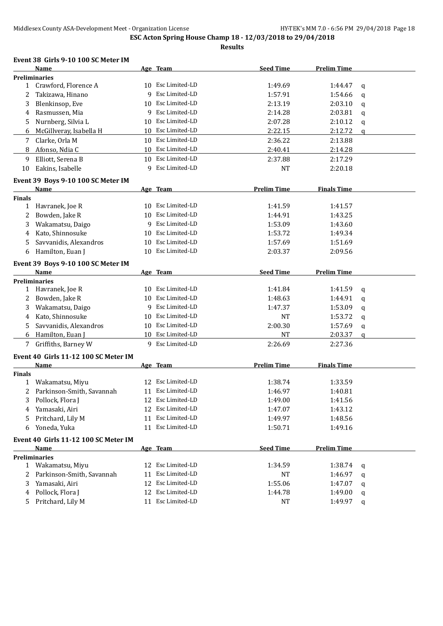**Results**

# **Event 38 Girls 9-10 100 SC Meter IM**

|               | <b>Name</b>                          |    | Age Team          | <b>Seed Time</b>   | <b>Prelim Time</b> |              |
|---------------|--------------------------------------|----|-------------------|--------------------|--------------------|--------------|
|               | <b>Preliminaries</b>                 |    |                   |                    |                    |              |
|               | 1 Crawford, Florence A               |    | 10 Esc Limited-LD | 1:49.69            | 1:44.47            | q            |
| 2             | Takizawa, Hinano                     | 9  | Esc Limited-LD    | 1:57.91            | 1:54.66            | $\mathbf q$  |
| 3             | Blenkinsop, Eve                      |    | 10 Esc Limited-LD | 2:13.19            | 2:03.10            | $\mathbf q$  |
| 4             | Rasmussen, Mia                       |    | 9 Esc Limited-LD  | 2:14.28            | 2:03.81            | $\mathbf q$  |
| 5             | Nurnberg, Silvia L                   | 10 | Esc Limited-LD    | 2:07.28            | 2:10.12            | $\mathbf q$  |
| 6             | McGillveray, Isabella H              | 10 | Esc Limited-LD    | 2:22.15            | 2:12.72            | $\mathbf{q}$ |
| 7             | Clarke, Orla M                       |    | 10 Esc Limited-LD | 2:36.22            | 2:13.88            |              |
| 8             | Afonso, Ndia C                       | 10 | Esc Limited-LD    | 2:40.41            | 2:14.28            |              |
| 9             | Elliott, Serena B                    |    | 10 Esc Limited-LD | 2:37.88            | 2:17.29            |              |
| 10            | Eakins, Isabelle                     | 9  | Esc Limited-LD    | <b>NT</b>          | 2:20.18            |              |
|               | Event 39 Boys 9-10 100 SC Meter IM   |    |                   |                    |                    |              |
|               | <b>Name</b>                          |    | Age Team          | <b>Prelim Time</b> | <b>Finals Time</b> |              |
| <b>Finals</b> |                                      |    |                   |                    |                    |              |
| $\mathbf{1}$  | Havranek, Joe R                      |    | 10 Esc Limited-LD | 1:41.59            | 1:41.57            |              |
| 2             | Bowden, Jake R                       | 10 | Esc Limited-LD    | 1:44.91            | 1:43.25            |              |
| 3             | Wakamatsu, Daigo                     | 9  | Esc Limited-LD    | 1:53.09            | 1:43.60            |              |
| 4             | Kato, Shinnosuke                     | 10 | Esc Limited-LD    | 1:53.72            | 1:49.34            |              |
| 5             | Savvanidis, Alexandros               | 10 | Esc Limited-LD    | 1:57.69            | 1:51.69            |              |
| 6             | Hamilton, Euan J                     | 10 | Esc Limited-LD    | 2:03.37            | 2:09.56            |              |
|               |                                      |    |                   |                    |                    |              |
|               | Event 39 Boys 9-10 100 SC Meter IM   |    |                   |                    |                    |              |
|               | Name<br><b>Preliminaries</b>         |    | Age Team          | <b>Seed Time</b>   | <b>Prelim Time</b> |              |
|               | 1 Havranek, Joe R                    | 10 | Esc Limited-LD    | 1:41.84            | 1:41.59            |              |
| 2             | Bowden, Jake R                       | 10 | Esc Limited-LD    | 1:48.63            | 1:44.91            | q<br>q       |
| 3             | Wakamatsu, Daigo                     | 9  | Esc Limited-LD    | 1:47.37            | 1:53.09            |              |
| 4             | Kato, Shinnosuke                     | 10 | Esc Limited-LD    | <b>NT</b>          | 1:53.72            | q            |
| 5.            | Savvanidis, Alexandros               | 10 | Esc Limited-LD    | 2:00.30            | 1:57.69            | q            |
|               | Hamilton, Euan J                     | 10 | Esc Limited-LD    | <b>NT</b>          | 2:03.37            | q            |
| 6             |                                      |    | 9 Esc Limited-LD  |                    |                    | a            |
| 7             | Griffiths, Barney W                  |    |                   | 2:26.69            | 2:27.36            |              |
|               | Event 40 Girls 11-12 100 SC Meter IM |    |                   |                    |                    |              |
|               | Name                                 |    | Age Team          | <b>Prelim Time</b> | <b>Finals Time</b> |              |
| <b>Finals</b> |                                      |    |                   |                    |                    |              |
|               | 1 Wakamatsu, Miyu                    |    | 12 Esc Limited-LD | 1:38.74            | 1:33.59            |              |
| 2             | Parkinson-Smith, Savannah            |    | 11 Esc Limited-LD | 1:46.97            | 1:40.81            |              |
|               | 3 Pollock, Flora J                   |    | 12 Esc Limited-LD | 1:49.00            | 1:41.56            |              |
| 4             | Yamasaki, Airi                       |    | 12 Esc Limited-LD | 1:47.07            | 1:43.12            |              |
| 5.            | Pritchard, Lily M                    |    | 11 Esc Limited-LD | 1:49.97            | 1:48.56            |              |
| 6             | Yoneda, Yuka                         |    | 11 Esc Limited-LD | 1:50.71            | 1:49.16            |              |
|               | Event 40 Girls 11-12 100 SC Meter IM |    |                   |                    |                    |              |
|               | Name                                 |    | Age Team          | <b>Seed Time</b>   | <b>Prelim Time</b> |              |
|               | <b>Preliminaries</b>                 |    |                   |                    |                    |              |
|               | 1 Wakamatsu, Miyu                    |    | 12 Esc Limited-LD | 1:34.59            | 1:38.74            | q            |
| 2             | Parkinson-Smith, Savannah            |    | 11 Esc Limited-LD | NT                 | 1:46.97            | q            |
| 3             | Yamasaki, Airi                       |    | 12 Esc Limited-LD | 1:55.06            | 1:47.07            | q            |
| 4             | Pollock, Flora J                     |    | 12 Esc Limited-LD | 1:44.78            | 1:49.00            | q            |
| 5.            | Pritchard, Lily M                    |    | 11 Esc Limited-LD | NT                 | 1:49.97            | q            |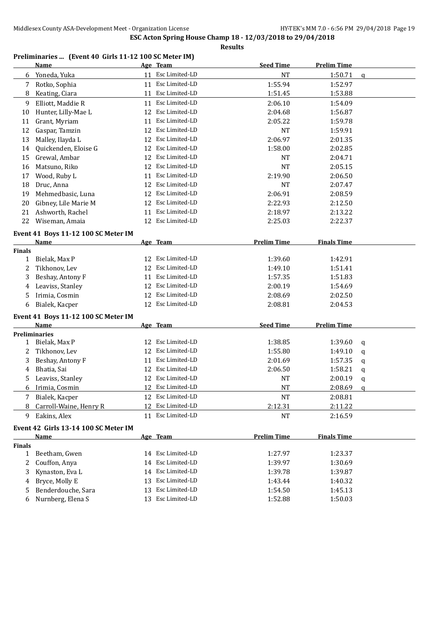#### **Preliminaries ... (Event 40 Girls 11-12 100 SC Meter IM)**

|                    | <b>Name</b>                                 |    | Age Team          | <b>Seed Time</b>   | <b>Prelim Time</b> |              |
|--------------------|---------------------------------------------|----|-------------------|--------------------|--------------------|--------------|
|                    | 6 Yoneda, Yuka                              |    | 11 Esc Limited-LD | NT                 | 1:50.71            | $\mathbf{q}$ |
| 7                  | Rotko, Sophia                               |    | 11 Esc Limited-LD | 1:55.94            | 1:52.97            |              |
| 8                  | Keating, Ciara                              |    | 11 Esc Limited-LD | 1:51.45            | 1:53.88            |              |
| 9                  | Elliott, Maddie R                           |    | 11 Esc Limited-LD | 2:06.10            | 1:54.09            |              |
| 10                 | Hunter, Lilly-Mae L                         | 12 | Esc Limited-LD    | 2:04.68            | 1:56.87            |              |
| 11                 | Grant, Myriam                               | 11 | Esc Limited-LD    | 2:05.22            | 1:59.78            |              |
| 12                 | Gaspar, Tamzin                              | 12 | Esc Limited-LD    | NT                 | 1:59.91            |              |
| 13                 | Malley, Ilayda L                            | 12 | Esc Limited-LD    | 2:06.97            | 2:01.35            |              |
| 14                 | Quickenden, Eloise G                        | 12 | Esc Limited-LD    | 1:58.00            | 2:02.85            |              |
| 15                 | Grewal, Ambar                               |    | 12 Esc Limited-LD | NT                 | 2:04.71            |              |
| 16                 | Matsuno, Riko                               |    | 12 Esc Limited-LD | NT                 | 2:05.15            |              |
| 17                 | Wood, Ruby L                                |    | 11 Esc Limited-LD | 2:19.90            | 2:06.50            |              |
| 18                 | Druc, Anna                                  |    | 12 Esc Limited-LD | NT                 | 2:07.47            |              |
| 19                 | Mehmedbasic, Luna                           |    | 12 Esc Limited-LD | 2:06.91            | 2:08.59            |              |
| 20                 | Gibney, Lile Marie M                        |    | 12 Esc Limited-LD | 2:22.93            | 2:12.50            |              |
| 21                 | Ashworth, Rachel                            | 11 | Esc Limited-LD    | 2:18.97            | 2:13.22            |              |
| 22                 | Wiseman, Amaia                              |    | 12 Esc Limited-LD | 2:25.03            | 2:22.37            |              |
|                    | Event 41 Boys 11-12 100 SC Meter IM         |    |                   |                    |                    |              |
|                    | Name                                        |    | Age Team          | <b>Prelim Time</b> | <b>Finals Time</b> |              |
| <b>Finals</b>      |                                             |    |                   |                    |                    |              |
| 1                  | Bielak, Max P                               |    | 12 Esc Limited-LD | 1:39.60            | 1:42.91            |              |
| 2                  | Tikhonov, Lev                               |    | 12 Esc Limited-LD | 1:49.10            | 1:51.41            |              |
| 3                  | Beshay, Antony F                            | 11 | Esc Limited-LD    | 1:57.35            | 1:51.83            |              |
| 4                  | Leaviss, Stanley                            |    | 12 Esc Limited-LD | 2:00.19            | 1:54.69            |              |
| 5                  | Irimia, Cosmin                              | 12 | Esc Limited-LD    | 2:08.69            | 2:02.50            |              |
| 6                  | Bialek, Kacper                              |    | 12 Esc Limited-LD | 2:08.81            | 2:04.53            |              |
|                    |                                             |    |                   |                    |                    |              |
|                    | Event 41 Boys 11-12 100 SC Meter IM<br>Name |    | Age Team          | <b>Seed Time</b>   | <b>Prelim Time</b> |              |
|                    | <b>Preliminaries</b>                        |    |                   |                    |                    |              |
| $\mathbf{1}$       | Bielak, Max P                               |    | 12 Esc Limited-LD | 1:38.85            | 1:39.60            | q            |
| 2                  | Tikhonov, Lev                               | 12 | Esc Limited-LD    | 1:55.80            | 1:49.10            | q            |
| 3                  | Beshay, Antony F                            | 11 | Esc Limited-LD    | 2:01.69            | 1:57.35            | q            |
| 4                  | Bhatia, Sai                                 |    | 12 Esc Limited-LD | 2:06.50            | 1:58.21            | q            |
| 5                  | Leaviss, Stanley                            |    | 12 Esc Limited-LD | NT                 | 2:00.19            | q            |
| 6                  | Irimia, Cosmin                              |    | 12 Esc Limited-LD | NT                 | 2:08.69            | q            |
|                    | 7 Bialek, Kacper                            |    | 12 Esc Limited-LD | <b>NT</b>          | 2:08.81            |              |
| 8                  | Carroll-Waine, Henry R                      |    | 12 Esc Limited-LD | 2:12.31            | 2:11.22            |              |
| 9                  | Eakins, Alex                                |    | 11 Esc Limited-LD | NT                 | 2:16.59            |              |
|                    |                                             |    |                   |                    |                    |              |
|                    | Event 42 Girls 13-14 100 SC Meter IM        |    |                   |                    |                    |              |
|                    | <b>Name</b>                                 |    | Age Team          | <b>Prelim Time</b> | <b>Finals Time</b> |              |
| <b>Finals</b><br>1 | Beetham, Gwen                               |    | 14 Esc Limited-LD | 1:27.97            | 1:23.37            |              |
| 2                  | Couffon, Anya                               |    | 14 Esc Limited-LD |                    | 1:30.69            |              |
| 3                  | Kynaston, Eva L                             |    | 14 Esc Limited-LD | 1:39.97<br>1:39.78 | 1:39.87            |              |
|                    |                                             | 13 | Esc Limited-LD    |                    | 1:40.32            |              |
| 4                  | Bryce, Molly E                              |    | 13 Esc Limited-LD | 1:43.44            | 1:45.13            |              |
| 5                  | Benderdouche, Sara<br>Nurnberg, Elena S     |    | 13 Esc Limited-LD | 1:54.50<br>1:52.88 | 1:50.03            |              |
| 6                  |                                             |    |                   |                    |                    |              |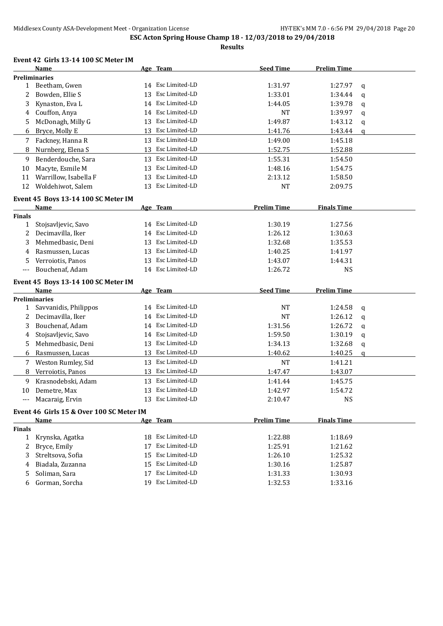**Results**

#### **Event 42 Girls 13-14 100 SC Meter IM**

|                | <b>Name</b>                              |    | Age Team          | <b>Seed Time</b>   | <b>Prelim Time</b> |              |
|----------------|------------------------------------------|----|-------------------|--------------------|--------------------|--------------|
|                | <b>Preliminaries</b>                     |    |                   |                    |                    |              |
| $\mathbf{1}$   | Beetham, Gwen                            |    | 14 Esc Limited-LD | 1:31.97            | 1:27.97            | $\mathbf q$  |
| 2              | Bowden, Ellie S                          |    | 13 Esc Limited-LD | 1:33.01            | 1:34.44            | q            |
| 3              | Kynaston, Eva L                          |    | 14 Esc Limited-LD | 1:44.05            | 1:39.78            | q            |
| 4              | Couffon, Anya                            |    | 14 Esc Limited-LD | <b>NT</b>          | 1:39.97            | $\mathsf{q}$ |
| 5              | McDonagh, Milly G                        |    | 13 Esc Limited-LD | 1:49.87            | 1:43.12            | q            |
| 6              | Bryce, Molly E                           |    | 13 Esc Limited-LD | 1:41.76            | 1:43.44            | q            |
| 7              | Fackney, Hanna R                         |    | 13 Esc Limited-LD | 1:49.00            | 1:45.18            |              |
| 8              | Nurnberg, Elena S                        |    | 13 Esc Limited-LD | 1:52.75            | 1:52.88            |              |
| 9              | Benderdouche, Sara                       |    | 13 Esc Limited-LD | 1:55.31            | 1:54.50            |              |
| 10             | Macyte, Esmile M                         |    | 13 Esc Limited-LD | 1:48.16            | 1:54.75            |              |
| 11             | Warrillow, Isabella F                    | 13 | Esc Limited-LD    | 2:13.12            | 1:58.50            |              |
| 12             | Woldehiwot, Salem                        | 13 | Esc Limited-LD    | <b>NT</b>          | 2:09.75            |              |
|                | Event 45 Boys 13-14 100 SC Meter IM      |    |                   |                    |                    |              |
|                | <b>Name</b>                              |    | Age Team          | <b>Prelim Time</b> | <b>Finals Time</b> |              |
| <b>Finals</b>  |                                          |    |                   |                    |                    |              |
| 1              | Stojsavljevic, Savo                      |    | 14 Esc Limited-LD | 1:30.19            | 1:27.56            |              |
| 2              | Decimavilla, Iker                        |    | 14 Esc Limited-LD | 1:26.12            | 1:30.63            |              |
| 3              | Mehmedbasic, Deni                        | 13 | Esc Limited-LD    | 1:32.68            | 1:35.53            |              |
| 4              | Rasmussen, Lucas                         | 13 | Esc Limited-LD    | 1:40.25            | 1:41.97            |              |
| 5              | Verroiotis, Panos                        | 13 | Esc Limited-LD    | 1:43.07            | 1:44.31            |              |
| $\overline{a}$ | Bouchenaf, Adam                          |    | 14 Esc Limited-LD | 1:26.72            | <b>NS</b>          |              |
|                | Event 45 Boys 13-14 100 SC Meter IM      |    |                   |                    |                    |              |
|                | <b>Name</b>                              |    | Age Team          | <b>Seed Time</b>   | <b>Prelim Time</b> |              |
|                | <b>Preliminaries</b>                     |    |                   |                    |                    |              |
| $\mathbf{1}$   | Savvanidis, Philippos                    |    | 14 Esc Limited-LD | <b>NT</b>          | 1:24.58            | q            |
| 2              | Decimavilla, Iker                        |    | 14 Esc Limited-LD | <b>NT</b>          | 1:26.12            | q            |
| 3              | Bouchenaf, Adam                          |    | 14 Esc Limited-LD | 1:31.56            | 1:26.72            | q            |
| 4              | Stojsavljevic, Savo                      |    | 14 Esc Limited-LD | 1:59.50            | 1:30.19            | $\mathbf q$  |
| 5              | Mehmedbasic, Deni                        |    | 13 Esc Limited-LD | 1:34.13            | 1:32.68            | q            |
| 6              | Rasmussen, Lucas                         |    | 13 Esc Limited-LD | 1:40.62            | 1:40.25            | $\mathsf{q}$ |
| 7              | Weston Rumley, Sid                       |    | 13 Esc Limited-LD | <b>NT</b>          | 1:41.21            |              |
| 8              | Verroiotis, Panos                        |    | 13 Esc Limited-LD | 1:47.47            | 1:43.07            |              |
| 9              | Krasnodebski, Adam                       |    | 13 Esc Limited-LD | 1:41.44            | 1:45.75            |              |
| 10             | Demetre, Max                             | 13 | Esc Limited-LD    | 1:42.97            | 1:54.72            |              |
| $---$          | Macaraig, Ervin                          | 13 | Esc Limited-LD    | 2:10.47            | <b>NS</b>          |              |
|                | Event 46 Girls 15 & Over 100 SC Meter IM |    |                   |                    |                    |              |
|                | Name                                     |    | Age Team          | <b>Prelim Time</b> | <b>Finals Time</b> |              |

|               | Name                |     | <u>дее теаш</u>   | гтении гипе | гинатын типе |  |
|---------------|---------------------|-----|-------------------|-------------|--------------|--|
| <b>Finals</b> |                     |     |                   |             |              |  |
|               | 1 Krynska, Agatka   |     | 18 Esc Limited-LD | 1:22.88     | 1:18.69      |  |
|               | 2 Bryce, Emily      | 17  | Esc Limited-LD    | 1:25.91     | 1:21.62      |  |
|               | 3 Streltsova, Sofia |     | 15 Esc Limited-LD | 1:26.10     | 1:25.32      |  |
|               | 4 Biadala, Zuzanna  |     | 15 Esc Limited-LD | 1:30.16     | 1:25.87      |  |
|               | 5 Soliman, Sara     | 17  | Esc Limited-LD    | 1:31.33     | 1:30.93      |  |
|               | 6 Gorman, Sorcha    | 19. | Esc Limited-LD    | 1:32.53     | 1:33.16      |  |